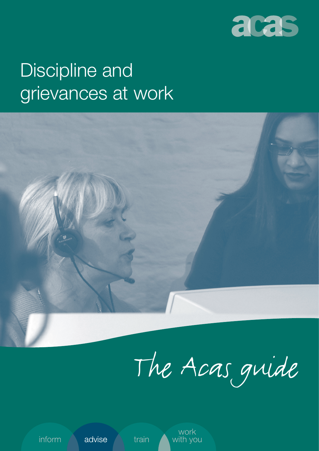

## Discipline and grievances at work



The Acas guide

work advise with you inform train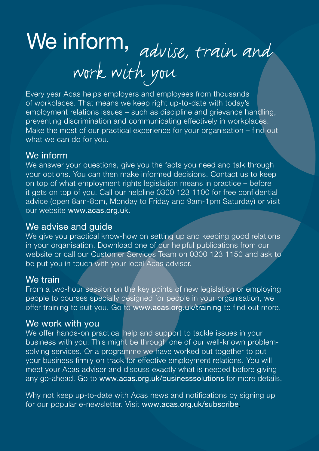# We inform, advise, train and work with you

Every year Acas helps employers and employees from thousands of workplaces. That means we keep right up-to-date with today's employment relations issues – such as discipline and grievance handling, preventing discrimination and communicating effectively in workplaces. Make the most of our practical experience for your organisation – find out what we can do for you.

#### We inform

We answer your questions, give you the facts you need and talk through your options. You can then make informed decisions. Contact us to keep on top of what employment rights legislation means in practice – before it gets on top of you. Call our helpline 0300 123 1100 for free confidential advice (open 8am-8pm, Monday to Friday and 9am-1pm Saturday) or visit our website [www.acas.org.uk](http://www.acas.org.uk).

#### We advise and guide

We give you practical know-how on setting up and keeping good relations in your organisation. Download one of our helpful publications from our website or call our Customer Services Team on 0300 123 1150 and ask to be put you in touch with your local Acas adviser.

#### We train

From a two-hour session on the key points of new legislation or employing people to courses specially designed for people in your organisation, we offer training to suit you. Go to [www.acas.org.uk/training](http://www.acas.org.uk/training) to find out more.

#### We work with you

We offer hands-on practical help and support to tackle issues in your business with you. This might be through one of our well-known problemsolving services. Or a programme we have worked out together to put your business firmly on track for effective employment relations. You will meet your Acas adviser and discuss exactly what is needed before giving any go-ahead. Go to [www.acas.org.uk/businesssolutions](http://www.acas.org.uk/businesssolutions) for more details.

Why not keep up-to-date with Acas news and notifications by signing up for our popular e-newsletter. Visit [www.acas.org.uk/subscribe.](http://www.acas.org.uk/subscribe)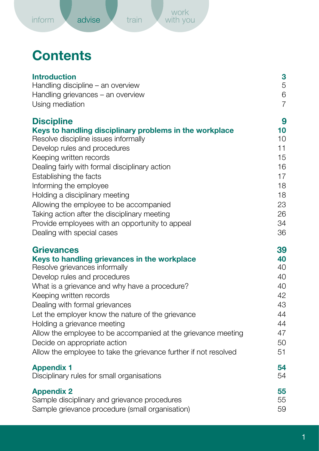| <i><b>Intorm</b></i> | advise | train | <b>work</b><br>with you |
|----------------------|--------|-------|-------------------------|
|                      |        |       |                         |

#### **Contents**

| <b>Introduction</b>                                              | 3               |
|------------------------------------------------------------------|-----------------|
| Handling discipline - an overview                                | 5               |
| Handling grievances - an overview                                | 6               |
| Using mediation                                                  | $\overline{7}$  |
| <b>Discipline</b>                                                | 9               |
| Keys to handling disciplinary problems in the workplace          | 10              |
| Resolve discipline issues informally                             | 10 <sup>1</sup> |
| Develop rules and procedures                                     | 11              |
| Keeping written records                                          | 15              |
| Dealing fairly with formal disciplinary action                   | 16              |
| Establishing the facts                                           | 17              |
| Informing the employee                                           | 18              |
| Holding a disciplinary meeting                                   | 18              |
| Allowing the employee to be accompanied                          | 23              |
| Taking action after the disciplinary meeting                     | 26              |
| Provide employees with an opportunity to appeal                  | 34              |
| Dealing with special cases                                       | 36              |
| <b>Grievances</b>                                                | 39              |
| Keys to handling grievances in the workplace                     | 40              |
| Resolve grievances informally                                    | 40              |
| Develop rules and procedures                                     | 40              |
| What is a grievance and why have a procedure?                    | 40              |
| Keeping written records                                          | 42              |
| Dealing with formal grievances                                   | 43              |
| Let the employer know the nature of the grievance                | 44              |
| Holding a grievance meeting                                      | 44              |
| Allow the employee to be accompanied at the grievance meeting    | 47              |
| Decide on appropriate action                                     | 50              |
| Allow the employee to take the grievance further if not resolved | 51              |
| <b>Appendix 1</b>                                                | 54              |
| Disciplinary rules for small organisations                       | 54              |
| <b>Appendix 2</b>                                                | 55              |
| Sample disciplinary and grievance procedures                     | 55              |
| Sample grievance procedure (small organisation)                  | 59              |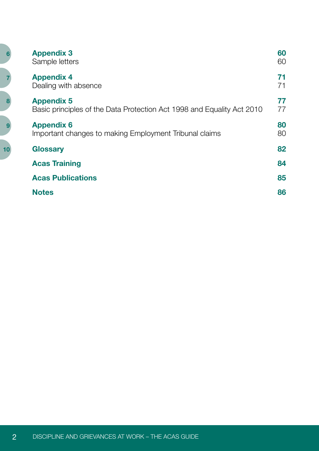| <b>Appendix 3</b><br>Sample letters                                                         | 60<br>60 |
|---------------------------------------------------------------------------------------------|----------|
| <b>Appendix 4</b><br>Dealing with absence                                                   | 71<br>71 |
| <b>Appendix 5</b><br>Basic principles of the Data Protection Act 1998 and Equality Act 2010 | 77<br>77 |
| <b>Appendix 6</b><br>Important changes to making Employment Tribunal claims                 | 80<br>80 |
| <b>Glossary</b>                                                                             | 82       |
| <b>Acas Training</b>                                                                        | 84       |
| <b>Acas Publications</b>                                                                    | 85       |
| <b>Notes</b>                                                                                | 86       |

6

7

8

9

10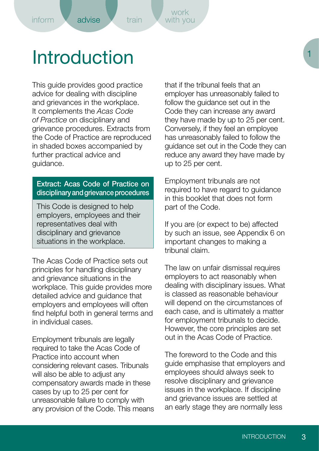## Introduction

This quide provides good practice advice for dealing with discipline and grievances in the workplace. It complements the *Acas Code of Practice* on disciplinary and grievance procedures. Extracts from the Code of Practice are reproduced in shaded boxes accompanied by further practical advice and guidance.

#### Extract: Acas Code of Practice on disciplinary and grievance procedures

This Code is designed to help employers, employees and their representatives deal with disciplinary and grievance situations in the workplace.

The Acas Code of Practice sets out principles for handling disciplinary and grievance situations in the workplace. This guide provides more detailed advice and guidance that employers and employees will often find helpful both in general terms and in individual cases.

Employment tribunals are legally required to take the Acas Code of Practice into account when considering relevant cases. Tribunals will also be able to adjust any compensatory awards made in these cases by up to 25 per cent for unreasonable failure to comply with any provision of the Code. This means that if the tribunal feels that an employer has unreasonably failed to follow the guidance set out in the Code they can increase any award they have made by up to 25 per cent. Conversely, if they feel an employee has unreasonably failed to follow the guidance set out in the Code they can reduce any award they have made by up to 25 per cent.

Employment tribunals are not required to have regard to guidance in this booklet that does not form part of the Code.

If you are (or expect to be) affected by such an issue, see [Appendix 6](#page-81-0) on important changes to making a tribunal claim.

The law on unfair dismissal requires employers to act reasonably when dealing with disciplinary issues. What is classed as reasonable behaviour will depend on the circumstances of each case, and is ultimately a matter for employment tribunals to decide. However, the core principles are set out in the Acas Code of Practice.

The foreword to the Code and this guide emphasise that employers and employees should always seek to resolve disciplinary and grievance issues in the workplace. If discipline and grievance issues are settled at an early stage they are normally less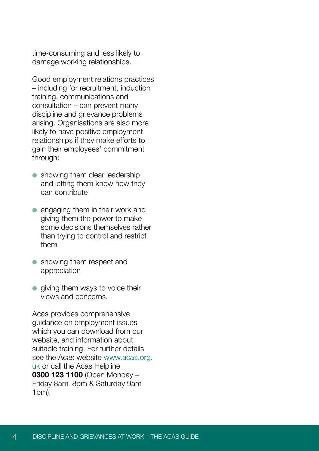time-consuming and less likely to damage working relationships.

Good employment relations practices – including for recruitment, induction training, communications and consultation – can prevent many discipline and grievance problems arising. Organisations are also more likely to have positive employment relationships if they make efforts to gain their employees' commitment through:

- showing them clear leadership and letting them know how they can contribute
- engaging them in their work and giving them the power to make some decisions themselves rather than trying to control and restrict them
- showing them respect and appreciation
- giving them ways to voice their views and concerns.

Acas provides comprehensive guidance on employment issues which you can download from our website, and information about suitable training. For further details see the Acas website [www.acas.org.](www.acas.org.uk) [uk](www.acas.org.uk) or call the Acas Helpline 0300 123 1100 (Open Monday -Friday 8am–8pm & Saturday 9am– 1pm).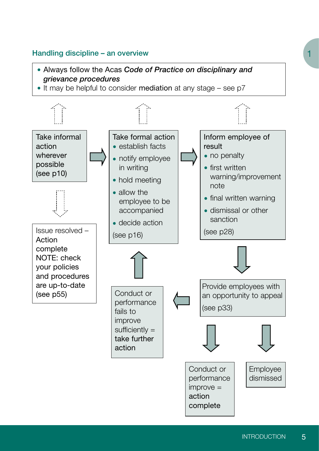#### Handling discipline – an overview

- Always follow the Acas *Code of Practice on disciplinary and grievance procedures*
- It may be helpful to consider mediation at any stage see p7

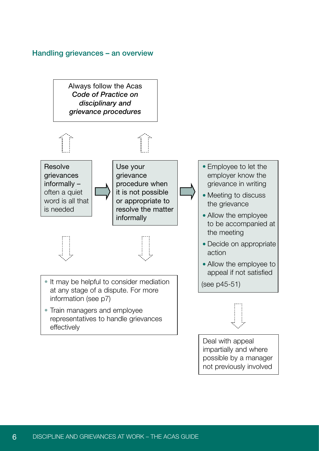#### Handling grievances – an overview

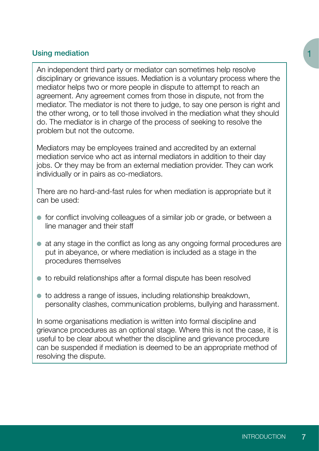#### <span id="page-8-0"></span>Using mediation 1

An independent third party or mediator can sometimes help resolve disciplinary or grievance issues. Mediation is a voluntary process where the mediator helps two or more people in dispute to attempt to reach an agreement. Any agreement comes from those in dispute, not from the mediator. The mediator is not there to judge, to say one person is right and the other wrong, or to tell those involved in the mediation what they should do. The mediator is in charge of the process of seeking to resolve the problem but not the outcome.

Mediators may be employees trained and accredited by an external mediation service who act as internal mediators in addition to their day jobs. Or they may be from an external mediation provider. They can work individually or in pairs as co-mediators.

There are no hard-and-fast rules for when mediation is appropriate but it can be used:

- for conflict involving colleagues of a similar job or grade, or between a line manager and their staff
- at any stage in the conflict as long as any ongoing formal procedures are put in abeyance, or where mediation is included as a stage in the procedures themselves
- $\bullet$  to rebuild relationships after a formal dispute has been resolved
- $\bullet$  to address a range of issues, including relationship breakdown, personality clashes, communication problems, bullying and harassment.

In some organisations mediation is written into formal discipline and grievance procedures as an optional stage. Where this is not the case, it is useful to be clear about whether the discipline and grievance procedure can be suspended if mediation is deemed to be an appropriate method of resolving the dispute.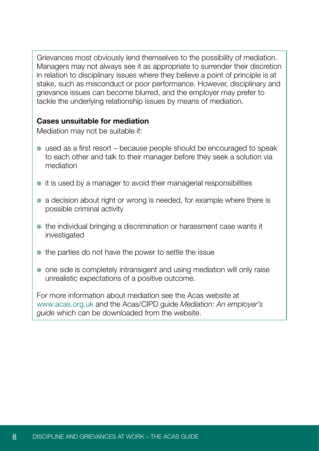Grievances most obviously lend themselves to the possibility of mediation. Managers may not always see it as appropriate to surrender their discretion in relation to disciplinary issues where they believe a point of principle is at stake, such as misconduct or poor performance. However, disciplinary and grievance issues can become blurred, and the employer may prefer to tackle the underlying relationship issues by means of mediation.

#### Cases unsuitable for mediation

Mediation may not be suitable if:

- $\bullet$  used as a first resort because people should be encouraged to speak to each other and talk to their manager before they seek a solution via mediation
- it is used by a manager to avoid their managerial responsibilities
- a decision about right or wrong is needed, for example where there is possible criminal activity
- the individual bringing a discrimination or harassment case wants it investigated
- the parties do not have the power to settle the issue
- one side is completely intransigent and using mediation will only raise unrealistic expectations of a positive outcome.

For more information about mediation see the Acas website at <www.acas.org.uk> and the Acas/CIPD guide *Mediation: An employer's guide* which can be downloaded from the website.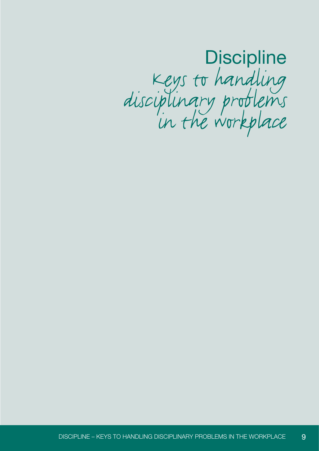# **Discipline** Keys to handling<br>disciplinary problems<br>in the workplace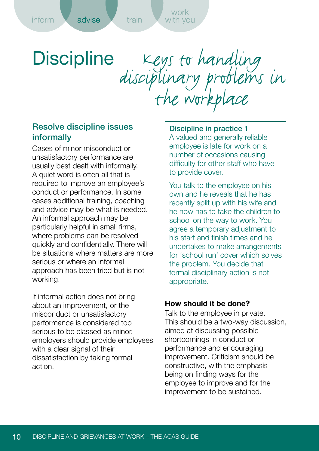train

work with you

# Discipline Keys to handling<br>disciplinary problems in<br>the workplace

#### Resolve discipline issues informally

Cases of minor misconduct or unsatisfactory performance are usually best dealt with informally. A quiet word is often all that is required to improve an employee's conduct or performance. In some cases additional training, coaching and advice may be what is needed. An informal approach may be particularly helpful in small firms, where problems can be resolved quickly and confidentially. There will be situations where matters are more serious or where an informal approach has been tried but is not working.

If informal action does not bring about an improvement, or the misconduct or unsatisfactory performance is considered too serious to be classed as minor, employers should provide employees with a clear signal of their dissatisfaction by taking formal action.

#### Discipline in practice 1

A valued and generally reliable employee is late for work on a number of occasions causing difficulty for other staff who have to provide cover.

You talk to the employee on his own and he reveals that he has recently split up with his wife and he now has to take the children to school on the way to work. You agree a temporary adjustment to his start and finish times and he undertakes to make arrangements for 'school run' cover which solves the problem. You decide that formal disciplinary action is not appropriate.

#### How should it be done?

Talk to the employee in private. This should be a two-way discussion, aimed at discussing possible shortcomings in conduct or performance and encouraging improvement. Criticism should be constructive, with the emphasis being on finding ways for the employee to improve and for the improvement to be sustained.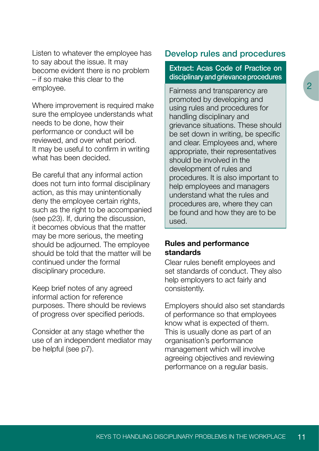Listen to whatever the employee has to say about the issue. It may become evident there is no problem – if so make this clear to the employee.

Where improvement is required make sure the employee understands what needs to be done, how their performance or conduct will be reviewed, and over what period. It may be useful to confirm in writing what has been decided.

Be careful that any informal action does not turn into formal disciplinary action, as this may unintentionally deny the employee certain rights, such as the right to be accompanied ([see p23\)](#page-24-0). If, during the discussion, it becomes obvious that the matter may be more serious, the meeting should be adjourned. The employee should be told that the matter will be continued under the formal disciplinary procedure.

Keep brief notes of any agreed informal action for reference purposes. There should be reviews of progress over specified periods.

Consider at any stage whether the use of an independent mediator may be helpful [\(see p7\)](#page-8-0).

#### Develop rules and procedures

Extract: Acas Code of Practice on disciplinary and grievance procedures

Fairness and transparency are promoted by developing and using rules and procedures for handling disciplinary and grievance situations. These should be set down in writing, be specific and clear. Employees and, where appropriate, their representatives should be involved in the development of rules and procedures. It is also important to help employees and managers understand what the rules and procedures are, where they can be found and how they are to be used.

#### Rules and performance standards

Clear rules benefit employees and set standards of conduct. They also help employers to act fairly and consistently.

Employers should also set standards of performance so that employees know what is expected of them. This is usually done as part of an organisation's performance management which will involve agreeing objectives and reviewing performance on a regular basis.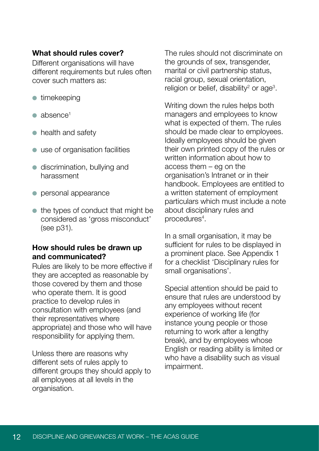#### What should rules cover?

Different organisations will have different requirements but rules often cover such matters as:

- timekeeping
- $\bullet$  absence<sup>1</sup>
- health and safety
- use of organisation facilities
- discrimination, bullying and harassment
- personal appearance
- the types of conduct that might be considered as 'gross misconduct' [\(see p31](#page-32-0)).

#### How should rules be drawn up and communicated?

Rules are likely to be more effective if they are accepted as reasonable by those covered by them and those who operate them. It is good practice to develop rules in consultation with employees (and their representatives where appropriate) and those who will have responsibility for applying them.

Unless there are reasons why different sets of rules apply to different groups they should apply to all employees at all levels in the organisation.

The rules should not discriminate on the grounds of sex, transgender, marital or civil partnership status, racial group, sexual orientation, religion or belief, disability<sup>2</sup> or age<sup>3</sup>.

Writing down the rules helps both managers and employees to know what is expected of them. The rules should be made clear to employees. Ideally employees should be given their own printed copy of the rules or written information about how to access them – eg on the organisation's Intranet or in their handbook. Employees are entitled to a written statement of employment particulars which must include a note about disciplinary rules and procedures<sup>4</sup>.

In a small organisation, it may be sufficient for rules to be displayed in a prominent place. [See Appendix 1](#page-55-0) for a checklist 'Disciplinary rules for small organisations'.

Special attention should be paid to ensure that rules are understood by any employees without recent experience of working life (for instance young people or those returning to work after a lengthy break), and by employees whose English or reading ability is limited or who have a disability such as visual impairment.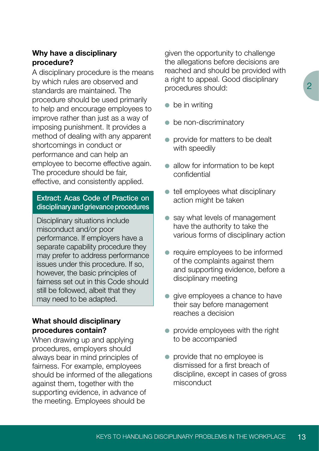#### Why have a disciplinary procedure?

A disciplinary procedure is the means by which rules are observed and standards are maintained. The procedure should be used primarily to help and encourage employees to improve rather than just as a way of imposing punishment. It provides a method of dealing with any apparent shortcomings in conduct or performance and can help an employee to become effective again. The procedure should be fair, effective, and consistently applied.

#### Extract: Acas Code of Practice on disciplinary and grievance procedures

Disciplinary situations include misconduct and/or poor performance. If employers have a separate capability procedure they may prefer to address performance issues under this procedure. If so, however, the basic principles of fairness set out in this Code should still be followed, albeit that they may need to be adapted.

#### What should disciplinary procedures contain?

When drawing up and applying procedures, employers should always bear in mind principles of fairness. For example, employees should be informed of the allegations against them, together with the supporting evidence, in advance of the meeting. Employees should be

given the opportunity to challenge the allegations before decisions are reached and should be provided with a right to appeal. Good disciplinary procedures should:

- $\bullet$  be in writing
- be non-discriminatory
- provide for matters to be dealt with speedily
- allow for information to be kept confidential
- tell employees what disciplinary action might be taken
- say what levels of management have the authority to take the various forms of disciplinary action
- require employees to be informed of the complaints against them and supporting evidence, before a disciplinary meeting
- give employees a chance to have their say before management reaches a decision
- provide employees with the right to be accompanied
- provide that no employee is dismissed for a first breach of discipline, except in cases of gross misconduct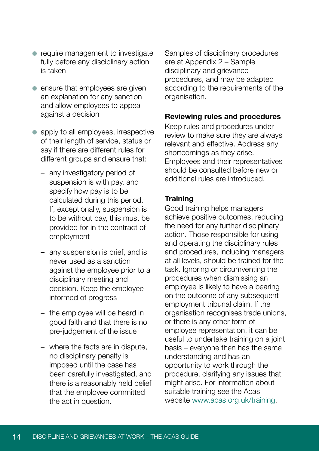- require management to investigate fully before any disciplinary action is taken
- ensure that employees are given an explanation for any sanction and allow employees to appeal against a decision
- apply to all employees, irrespective of their length of service, status or say if there are different rules for different groups and ensure that:
	- any investigatory period of suspension is with pay, and specify how pay is to be calculated during this period. If, exceptionally, suspension is to be without pay, this must be provided for in the contract of employment
	- any suspension is brief, and is never used as a sanction against the employee prior to a disciplinary meeting and decision. Keep the employee informed of progress
	- the employee will be heard in good faith and that there is no pre-judgement of the issue
	- where the facts are in dispute, no disciplinary penalty is imposed until the case has been carefully investigated, and there is a reasonably held belief that the employee committed the act in question.

Samples of disciplinary procedures are at Appendix 2 – Sample disciplinary and grievance procedures, and may be adapted according to the requirements of the organisation.

#### Reviewing rules and procedures

Keep rules and procedures under review to make sure they are always relevant and effective. Address any shortcomings as they arise. Employees and their representatives should be consulted before new or additional rules are introduced.

#### **Training**

Good training helps managers achieve positive outcomes, reducing the need for any further disciplinary action. Those responsible for using and operating the disciplinary rules and procedures, including managers at all levels, should be trained for the task. Ignoring or circumventing the procedures when dismissing an employee is likely to have a bearing on the outcome of any subsequent employment tribunal claim. If the organisation recognises trade unions, or there is any other form of employee representation, it can be useful to undertake training on a joint basis – everyone then has the same understanding and has an opportunity to work through the procedure, clarifying any issues that might arise. For information about suitable training see the Acas website<www.acas.org.uk/training>.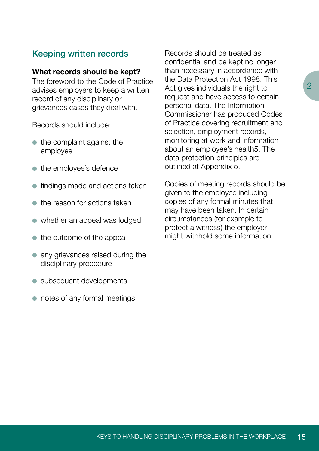#### Keeping written records

#### What records should be kept?

The foreword to the Code of Practice advises employers to keep a written record of any disciplinary or grievances cases they deal with.

Records should include:

- the complaint against the employee
- the employee's defence
- findings made and actions taken
- the reason for actions taken
- whether an appeal was lodged
- the outcome of the appeal
- any grievances raised during the disciplinary procedure
- subsequent developments
- notes of any formal meetings.

Records should be treated as confidential and be kept no longer than necessary in accordance with the Data Protection Act 1998. This Act gives individuals the right to request and have access to certain personal data. The Information Commissioner has produced Codes of Practice covering recruitment and selection, employment records, monitoring at work and information about an employee's health5. The data protection principles are outlined at Appendix 5.

Copies of meeting records should be given to the employee including copies of any formal minutes that may have been taken. In certain circumstances (for example to protect a witness) the employer might withhold some information.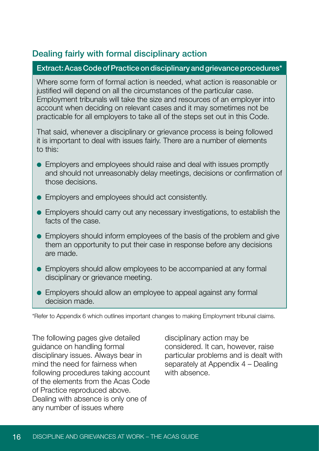#### Dealing fairly with formal disciplinary action

#### Extract: Acas Code of Practice on disciplinary and grievance procedures\*

Where some form of formal action is needed, what action is reasonable or justified will depend on all the circumstances of the particular case. Employment tribunals will take the size and resources of an employer into account when deciding on relevant cases and it may sometimes not be practicable for all employers to take all of the steps set out in this Code.

That said, whenever a disciplinary or grievance process is being followed it is important to deal with issues fairly. There are a number of elements to this:

- Employers and employees should raise and deal with issues promptly and should not unreasonably delay meetings, decisions or confirmation of those decisions.
- Employers and employees should act consistently.
- Employers should carry out any necessary investigations, to establish the facts of the case.
- Employers should inform employees of the basis of the problem and give them an opportunity to put their case in response before any decisions are made.
- Employers should allow employees to be accompanied at any formal disciplinary or grievance meeting.
- Employers should allow an employee to appeal against any formal decision made.

\*Refer to Appendix 6 which outlines important changes to making Employment tribunal claims.

The following pages give detailed guidance on handling formal disciplinary issues. Always bear in mind the need for fairness when following procedures taking account of the elements from the Acas Code of Practice reproduced above. Dealing with absence is only one of any number of issues where

disciplinary action may be considered. It can, however, raise particular problems and is dealt with separately at Appendix 4 – Dealing with absence.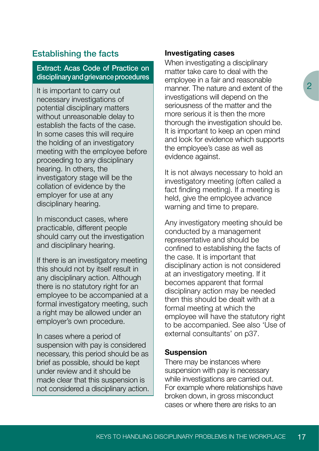#### Establishing the facts

#### Extract: Acas Code of Practice on disciplinary and grievance procedures

It is important to carry out necessary investigations of potential disciplinary matters without unreasonable delay to establish the facts of the case. In some cases this will require the holding of an investigatory meeting with the employee before proceeding to any disciplinary hearing. In others, the investigatory stage will be the collation of evidence by the employer for use at any disciplinary hearing.

In misconduct cases, where practicable, different people should carry out the investigation and disciplinary hearing.

If there is an investigatory meeting this should not by itself result in any disciplinary action. Although there is no statutory right for an employee to be accompanied at a formal investigatory meeting, such a right may be allowed under an employer's own procedure.

In cases where a period of suspension with pay is considered necessary, this period should be as brief as possible, should be kept under review and it should be made clear that this suspension is not considered a disciplinary action.

#### Investigating cases

When investigating a disciplinary matter take care to deal with the employee in a fair and reasonable manner. The nature and extent of the investigations will depend on the seriousness of the matter and the more serious it is then the more thorough the investigation should be. It is important to keep an open mind and look for evidence which supports the employee's case as well as evidence against.

It is not always necessary to hold an investigatory meeting (often called a fact finding meeting). If a meeting is held, give the employee advance warning and time to prepare.

Any investigatory meeting should be conducted by a management representative and should be confined to establishing the facts of the case. It is important that disciplinary action is not considered at an investigatory meeting. If it becomes apparent that formal disciplinary action may be needed then this should be dealt with at a formal meeting at which the employee will have the statutory right to be accompanied. See also 'Use of external consultants' on p37.

#### **Suspension**

There may be instances where suspension with pay is necessary while investigations are carried out. For example where relationships have broken down, in gross misconduct cases or where there are risks to an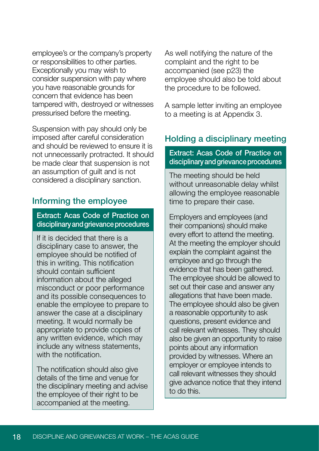employee's or the company's property or responsibilities to other parties. Exceptionally you may wish to consider suspension with pay where you have reasonable grounds for concern that evidence has been tampered with, destroyed or witnesses pressurised before the meeting.

Suspension with pay should only be imposed after careful consideration and should be reviewed to ensure it is not unnecessarily protracted. It should be made clear that suspension is not an assumption of guilt and is not considered a disciplinary sanction.

#### Informing the employee

#### Extract: Acas Code of Practice on disciplinary and grievance procedures

If it is decided that there is a disciplinary case to answer, the employee should be notified of this in writing. This notification should contain sufficient information about the alleged misconduct or poor performance and its possible consequences to enable the employee to prepare to answer the case at a disciplinary meeting. It would normally be appropriate to provide copies of any written evidence, which may include any witness statements, with the notification

The notification should also give details of the time and venue for the disciplinary meeting and advise the employee of their right to be accompanied at the meeting.

As well notifying the nature of the complaint and the right to be accompanied [\(see p23](#page-24-0)) the employee should also be told about the procedure to be followed.

A sample letter inviting an employee to a meeting is at Appendix 3.

#### Holding a disciplinary meeting

#### Extract: Acas Code of Practice on disciplinary and grievance procedures

The meeting should be held without unreasonable delay whilst allowing the employee reasonable time to prepare their case.

Employers and employees (and their companions) should make every effort to attend the meeting. At the meeting the employer should explain the complaint against the employee and go through the evidence that has been gathered. The employee should be allowed to set out their case and answer any allegations that have been made. The employee should also be given a reasonable opportunity to ask questions, present evidence and call relevant witnesses. They should also be given an opportunity to raise points about any information provided by witnesses. Where an employer or employee intends to call relevant witnesses they should give advance notice that they intend to do this.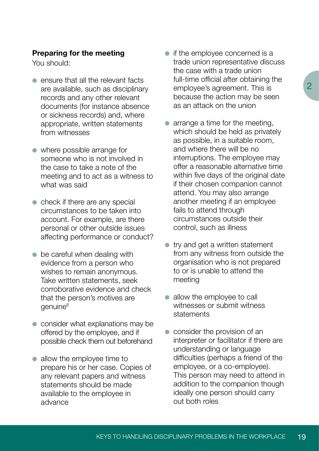#### Preparing for the meeting

You should:

- ensure that all the relevant facts are available, such as disciplinary records and any other relevant documents (for instance absence or sickness records) and, where appropriate, written statements from witnesses
- where possible arrange for someone who is not involved in the case to take a note of the meeting and to act as a witness to what was said
- check if there are any special circumstances to be taken into account. For example, are there personal or other outside issues affecting performance or conduct?
- $\bullet$  be careful when dealing with evidence from a person who wishes to remain anonymous. Take written statements, seek corroborative evidence and check that the person's motives are genuine<sup>6</sup>
- consider what explanations may be offered by the employee, and if possible check them out beforehand
- allow the employee time to prepare his or her case. Copies of any relevant papers and witness statements should be made available to the employee in advance
- if the employee concerned is a trade union representative discuss the case with a trade union full-time official after obtaining the employee's agreement. This is because the action may be seen as an attack on the union
- $\bullet$  arrange a time for the meeting, which should be held as privately as possible, in a suitable room, and where there will be no interruptions. The employee may offer a reasonable alternative time within five days of the original date if their chosen companion cannot attend. You may also arrange another meeting if an employee fails to attend through circumstances outside their control, such as illness
- try and get a written statement from any witness from outside the organisation who is not prepared to or is unable to attend the meeting
- allow the employee to call witnesses or submit witness statements
- consider the provision of an interpreter or facilitator if there are understanding or language difficulties (perhaps a friend of the employee, or a co-employee). This person may need to attend in addition to the companion though ideally one person should carry out both roles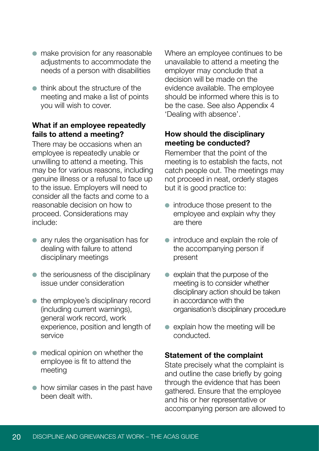- make provision for any reasonable adjustments to accommodate the needs of a person with disabilities
- think about the structure of the meeting and make a list of points you will wish to cover.

#### What if an employee repeatedly fails to attend a meeting?

There may be occasions when an employee is repeatedly unable or unwilling to attend a meeting. This may be for various reasons, including genuine illness or a refusal to face up to the issue. Employers will need to consider all the facts and come to a reasonable decision on how to proceed. Considerations may include:

- any rules the organisation has for dealing with failure to attend disciplinary meetings
- the seriousness of the disciplinary issue under consideration
- the employee's disciplinary record (including current warnings), general work record, work experience, position and length of service
- medical opinion on whether the employee is fit to attend the meeting
- how similar cases in the past have been dealt with.

Where an employee continues to be unavailable to attend a meeting the employer may conclude that a decision will be made on the evidence available. The employee should be informed where this is to be the case. See also Appendix 4 'Dealing with absence'.

#### How should the disciplinary meeting be conducted?

Remember that the point of the meeting is to establish the facts, not catch people out. The meetings may not proceed in neat, orderly stages but it is good practice to:

- introduce those present to the employee and explain why they are there
- introduce and explain the role of the accompanying person if present
- explain that the purpose of the meeting is to consider whether disciplinary action should be taken in accordance with the organisation's disciplinary procedure
- $\bullet$  explain how the meeting will be conducted.

#### Statement of the complaint

State precisely what the complaint is and outline the case briefly by going through the evidence that has been gathered. Ensure that the employee and his or her representative or accompanying person are allowed to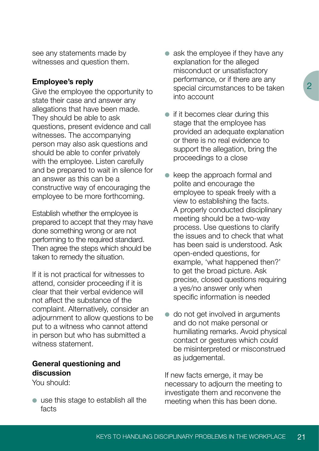see any statements made by witnesses and question them.

#### Employee's reply

Give the employee the opportunity to state their case and answer any allegations that have been made. They should be able to ask questions, present evidence and call witnesses. The accompanying person may also ask questions and should be able to confer privately with the employee. Listen carefully and be prepared to wait in silence for an answer as this can be a constructive way of encouraging the employee to be more forthcoming.

Establish whether the employee is prepared to accept that they may have done something wrong or are not performing to the required standard. Then agree the steps which should be taken to remedy the situation.

If it is not practical for witnesses to attend, consider proceeding if it is clear that their verbal evidence will not affect the substance of the complaint. Alternatively, consider an adjournment to allow questions to be put to a witness who cannot attend in person but who has submitted a witness statement.

#### General questioning and discussion

You should:

● use this stage to establish all the facts

- ask the employee if they have any explanation for the alleged misconduct or unsatisfactory performance, or if there are any special circumstances to be taken into account
- if it becomes clear during this stage that the employee has provided an adequate explanation or there is no real evidence to support the allegation, bring the proceedings to a close
- keep the approach formal and polite and encourage the employee to speak freely with a view to establishing the facts. A properly conducted disciplinary meeting should be a two-way process. Use questions to clarify the issues and to check that what has been said is understood. Ask open-ended questions, for example, 'what happened then?' to get the broad picture. Ask precise, closed questions requiring a yes/no answer only when specific information is needed
- do not get involved in arguments and do not make personal or humiliating remarks. Avoid physical contact or gestures which could be misinterpreted or misconstrued as judgemental.

If new facts emerge, it may be necessary to adjourn the meeting to investigate them and reconvene the meeting when this has been done.

 $\overline{2}$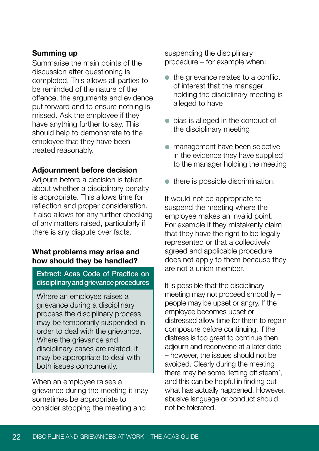#### Summing up

Summarise the main points of the discussion after questioning is completed. This allows all parties to be reminded of the nature of the offence, the arguments and evidence put forward and to ensure nothing is missed. Ask the employee if they have anything further to say. This should help to demonstrate to the employee that they have been treated reasonably.

#### Adjournment before decision

Adjourn before a decision is taken about whether a disciplinary penalty is appropriate. This allows time for reflection and proper consideration. It also allows for any further checking of any matters raised, particularly if there is any dispute over facts.

#### What problems may arise and how should they be handled?

Extract: Acas Code of Practice on disciplinary and grievance procedures

Where an employee raises a grievance during a disciplinary process the disciplinary process may be temporarily suspended in order to deal with the grievance. Where the grievance and disciplinary cases are related, it may be appropriate to deal with both issues concurrently.

When an employee raises a grievance during the meeting it may sometimes be appropriate to consider stopping the meeting and

suspending the disciplinary procedure – for example when:

- the grievance relates to a conflict of interest that the manager holding the disciplinary meeting is alleged to have
- bias is alleged in the conduct of the disciplinary meeting
- management have been selective in the evidence they have supplied to the manager holding the meeting
- there is possible discrimination.

It would not be appropriate to suspend the meeting where the employee makes an invalid point. For example if they mistakenly claim that they have the right to be legally represented or that a collectively agreed and applicable procedure does not apply to them because they are not a union member.

It is possible that the disciplinary meeting may not proceed smoothly – people may be upset or angry. If the employee becomes upset or distressed allow time for them to regain composure before continuing. If the distress is too great to continue then adjourn and reconvene at a later date – however, the issues should not be avoided. Clearly during the meeting there may be some 'letting off steam', and this can be helpful in finding out what has actually happened. However, abusive language or conduct should not be tolerated.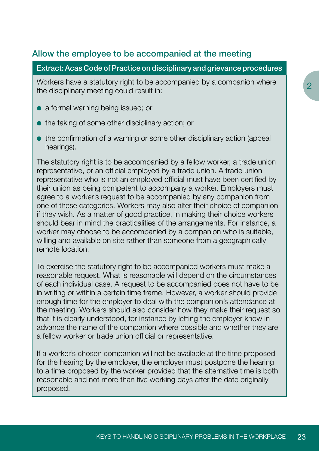#### <span id="page-24-0"></span>Allow the employee to be accompanied at the meeting

#### Extract: Acas Code of Practice on disciplinary and grievance procedures

Workers have a statutory right to be accompanied by a companion where the disciplinary meeting could result in:

- a formal warning being issued; or
- the taking of some other disciplinary action; or
- the confirmation of a warning or some other disciplinary action (appeal hearings).

The statutory right is to be accompanied by a fellow worker, a trade union representative, or an official employed by a trade union. A trade union representative who is not an employed official must have been certified by their union as being competent to accompany a worker. Employers must agree to a worker's request to be accompanied by any companion from one of these categories. Workers may also alter their choice of companion if they wish. As a matter of good practice, in making their choice workers should bear in mind the practicalities of the arrangements. For instance, a worker may choose to be accompanied by a companion who is suitable, willing and available on site rather than someone from a geographically remote location.

To exercise the statutory right to be accompanied workers must make a reasonable request. What is reasonable will depend on the circumstances of each individual case. A request to be accompanied does not have to be in writing or within a certain time frame. However, a worker should provide enough time for the employer to deal with the companion's attendance at the meeting. Workers should also consider how they make their request so that it is clearly understood, for instance by letting the employer know in advance the name of the companion where possible and whether they are a fellow worker or trade union official or representative.

If a worker's chosen companion will not be available at the time proposed for the hearing by the employer, the employer must postpone the hearing to a time proposed by the worker provided that the alternative time is both reasonable and not more than five working days after the date originally proposed.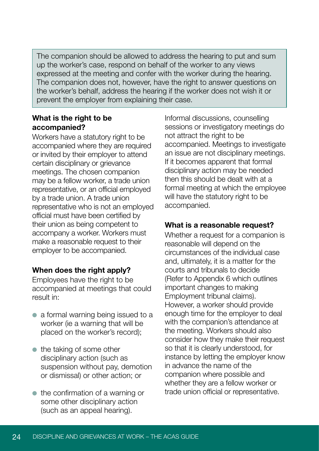The companion should be allowed to address the hearing to put and sum up the worker's case, respond on behalf of the worker to any views expressed at the meeting and confer with the worker during the hearing. The companion does not, however, have the right to answer questions on the worker's behalf, address the hearing if the worker does not wish it or prevent the employer from explaining their case.

#### What is the right to be accompanied?

Workers have a statutory right to be accompanied where they are required or invited by their employer to attend certain disciplinary or grievance meetings. The chosen companion may be a fellow worker, a trade union representative, or an official employed by a trade union. A trade union representative who is not an employed official must have been certified by their union as being competent to accompany a worker. Workers must make a reasonable request to their employer to be accompanied.

#### When does the right apply?

Employees have the right to be accompanied at meetings that could result in:

- a formal warning being issued to a worker (ie a warning that will be placed on the worker's record);
- the taking of some other disciplinary action (such as suspension without pay, demotion or dismissal) or other action; or
- the confirmation of a warning or some other disciplinary action (such as an appeal hearing).

Informal discussions, counselling sessions or investigatory meetings do not attract the right to be accompanied. Meetings to investigate an issue are not disciplinary meetings. If it becomes apparent that formal disciplinary action may be needed then this should be dealt with at a formal meeting at which the employee will have the statutory right to be accompanied.

#### What is a reasonable request?

Whether a request for a companion is reasonable will depend on the circumstances of the individual case and, ultimately, it is a matter for the courts and tribunals to decide (Refer to Appendix 6 which outlines important changes to making Employment tribunal claims). However, a worker should provide enough time for the employer to deal with the companion's attendance at the meeting. Workers should also consider how they make their request so that it is clearly understood, for instance by letting the employer know in advance the name of the companion where possible and whether they are a fellow worker or trade union official or representative.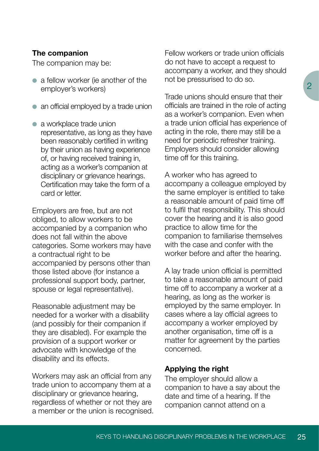#### The companion

The companion may be:

- $\bullet$  a fellow worker (ie another of the employer's workers)
- an official employed by a trade union
- a workplace trade union representative, as long as they have been reasonably certified in writing by their union as having experience of, or having received training in, acting as a worker's companion at disciplinary or grievance hearings. Certification may take the form of a card or letter.

Employers are free, but are not obliged, to allow workers to be accompanied by a companion who does not fall within the above categories. Some workers may have a contractual right to be accompanied by persons other than those listed above (for instance a professional support body, partner, spouse or legal representative).

Reasonable adjustment may be needed for a worker with a disability (and possibly for their companion if they are disabled). For example the provision of a support worker or advocate with knowledge of the disability and its effects.

Workers may ask an official from any trade union to accompany them at a disciplinary or grievance hearing, regardless of whether or not they are a member or the union is recognised. Fellow workers or trade union officials do not have to accept a request to accompany a worker, and they should not be pressurised to do so.

Trade unions should ensure that their officials are trained in the role of acting as a worker's companion. Even when a trade union official has experience of acting in the role, there may still be a need for periodic refresher training. Employers should consider allowing time off for this training.

A worker who has agreed to accompany a colleague employed by the same employer is entitled to take a reasonable amount of paid time off to fulfil that responsibility. This should cover the hearing and it is also good practice to allow time for the companion to familiarise themselves with the case and confer with the worker before and after the hearing.

A lay trade union official is permitted to take a reasonable amount of paid time off to accompany a worker at a hearing, as long as the worker is employed by the same employer. In cases where a lay official agrees to accompany a worker employed by another organisation, time off is a matter for agreement by the parties concerned.

#### Applying the right

The employer should allow a companion to have a say about the date and time of a hearing. If the companion cannot attend on a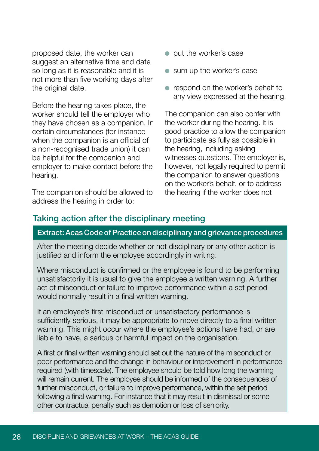proposed date, the worker can suggest an alternative time and date so long as it is reasonable and it is not more than five working days after the original date.

Before the hearing takes place, the worker should tell the employer who they have chosen as a companion. In certain circumstances (for instance when the companion is an official of a non-recognised trade union) it can be helpful for the companion and employer to make contact before the hearing.

The companion should be allowed to address the hearing in order to:

- put the worker's case
- sum up the worker's case
- respond on the worker's behalf to any view expressed at the hearing.

The companion can also confer with the worker during the hearing. It is good practice to allow the companion to participate as fully as possible in the hearing, including asking witnesses questions. The employer is, however, not legally required to permit the companion to answer questions on the worker's behalf, or to address the hearing if the worker does not

#### Taking action after the disciplinary meeting

#### Extract: Acas Code of Practice on disciplinary and grievance procedures

After the meeting decide whether or not disciplinary or any other action is justified and inform the employee accordingly in writing.

Where misconduct is confirmed or the employee is found to be performing unsatisfactorily it is usual to give the employee a written warning. A further act of misconduct or failure to improve performance within a set period would normally result in a final written warning.

If an employee's first misconduct or unsatisfactory performance is sufficiently serious, it may be appropriate to move directly to a final written warning. This might occur where the employee's actions have had, or are liable to have, a serious or harmful impact on the organisation.

A first or final written warning should set out the nature of the misconduct or poor performance and the change in behaviour or improvement in performance required (with timescale). The employee should be told how long the warning will remain current. The employee should be informed of the consequences of further misconduct, or failure to improve performance, within the set period following a final warning. For instance that it may result in dismissal or some other contractual penalty such as demotion or loss of seniority.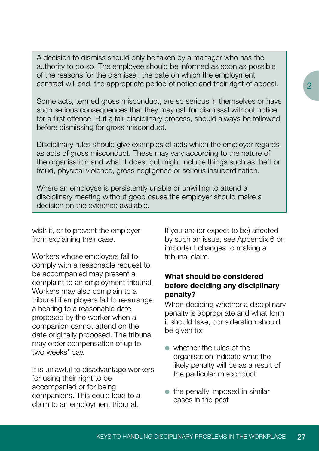A decision to dismiss should only be taken by a manager who has the authority to do so. The employee should be informed as soon as possible of the reasons for the dismissal, the date on which the employment contract will end, the appropriate period of notice and their right of appeal.

Some acts, termed gross misconduct, are so serious in themselves or have such serious consequences that they may call for dismissal without notice for a first offence. But a fair disciplinary process, should always be followed, before dismissing for gross misconduct.

Disciplinary rules should give examples of acts which the employer regards as acts of gross misconduct. These may vary according to the nature of the organisation and what it does, but might include things such as theft or fraud, physical violence, gross negligence or serious insubordination.

Where an employee is persistently unable or unwilling to attend a disciplinary meeting without good cause the employer should make a decision on the evidence available.

wish it, or to prevent the employer from explaining their case.

Workers whose employers fail to comply with a reasonable request to be accompanied may present a complaint to an employment tribunal. Workers may also complain to a tribunal if employers fail to re-arrange a hearing to a reasonable date proposed by the worker when a companion cannot attend on the date originally proposed. The tribunal may order compensation of up to two weeks' pay.

It is unlawful to disadvantage workers for using their right to be accompanied or for being companions. This could lead to a claim to an employment tribunal.

If you are (or expect to be) affected by such an issue, [see Appendix 6](#page-81-0) on important changes to making a tribunal claim.

#### What should be considered before deciding any disciplinary penalty?

When deciding whether a disciplinary penalty is appropriate and what form it should take, consideration should be given to:

- whether the rules of the organisation indicate what the likely penalty will be as a result of the particular misconduct
- $\bullet$  the penalty imposed in similar cases in the past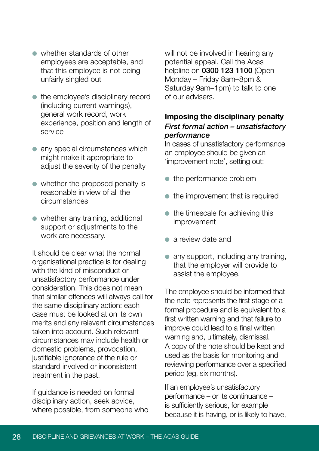- whether standards of other employees are acceptable, and that this employee is not being unfairly singled out
- the employee's disciplinary record (including current warnings), general work record, work experience, position and length of service
- any special circumstances which might make it appropriate to adiust the severity of the penalty
- whether the proposed penalty is reasonable in view of all the circumstances
- $\bullet$  whether any training, additional support or adjustments to the work are necessary.

It should be clear what the normal organisational practice is for dealing with the kind of misconduct or unsatisfactory performance under consideration. This does not mean that similar offences will always call for the same disciplinary action: each case must be looked at on its own merits and any relevant circumstances taken into account. Such relevant circumstances may include health or domestic problems, provocation, justifiable ignorance of the rule or standard involved or inconsistent treatment in the past.

If guidance is needed on formal disciplinary action, seek advice, where possible, from someone who will not be involved in hearing any potential appeal. Call the Acas helpline on 0300 123 1100 (Open Monday – Friday 8am–8pm & Saturday 9am–1pm) to talk to one of our advisers.

#### Imposing the disciplinary penalty *First formal action – unsatisfactory performance*

In cases of unsatisfactory performance an employee should be given an 'improvement note', setting out:

- the performance problem
- the improvement that is required
- $\bullet$  the timescale for achieving this improvement
- a review date and
- any support, including any training, that the employer will provide to assist the employee.

The employee should be informed that the note represents the first stage of a formal procedure and is equivalent to a first written warning and that failure to improve could lead to a final written warning and, ultimately, dismissal. A copy of the note should be kept and used as the basis for monitoring and reviewing performance over a specified period (eg, six months).

If an employee's unsatisfactory performance – or its continuance – is sufficiently serious, for example because it is having, or is likely to have,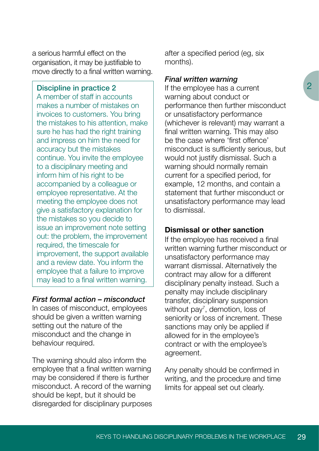a serious harmful effect on the organisation, it may be justifiable to move directly to a final written warning.

#### Discipline in practice 2

A member of staff in accounts makes a number of mistakes on invoices to customers. You bring the mistakes to his attention, make sure he has had the right training and impress on him the need for accuracy but the mistakes continue. You invite the employee to a disciplinary meeting and inform him of his right to be accompanied by a colleague or employee representative. At the meeting the employee does not give a satisfactory explanation for the mistakes so you decide to issue an improvement note setting out: the problem, the improvement required, the timescale for improvement, the support available and a review date. You inform the employee that a failure to improve may lead to a final written warning.

#### *First formal action – misconduct*

In cases of misconduct, employees should be given a written warning setting out the nature of the misconduct and the change in behaviour required.

The warning should also inform the employee that a final written warning may be considered if there is further misconduct. A record of the warning should be kept, but it should be disregarded for disciplinary purposes after a specified period (eg, six months).

#### *Final written warning*

If the employee has a current warning about conduct or performance then further misconduct or unsatisfactory performance (whichever is relevant) may warrant a final written warning. This may also be the case where 'first offence' misconduct is sufficiently serious, but would not justify dismissal. Such a warning should normally remain current for a specified period, for example, 12 months, and contain a statement that further misconduct or unsatisfactory performance may lead to dismissal.

#### Dismissal or other sanction

If the employee has received a final written warning further misconduct or unsatisfactory performance may warrant dismissal. Alternatively the contract may allow for a different disciplinary penalty instead. Such a penalty may include disciplinary transfer, disciplinary suspension without pay<sup>7</sup>, demotion, loss of seniority or loss of increment. These sanctions may only be applied if allowed for in the employee's contract or with the employee's agreement.

Any penalty should be confirmed in writing, and the procedure and time limits for appeal set out clearly.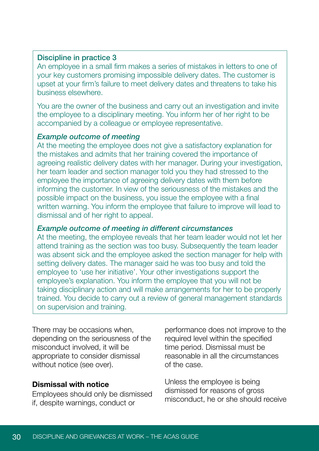#### Discipline in practice 3

An employee in a small firm makes a series of mistakes in letters to one of your key customers promising impossible delivery dates. The customer is upset at your firm's failure to meet delivery dates and threatens to take his business elsewhere.

You are the owner of the business and carry out an investigation and invite the employee to a disciplinary meeting. You inform her of her right to be accompanied by a colleague or employee representative.

#### *Example outcome of meeting*

At the meeting the employee does not give a satisfactory explanation for the mistakes and admits that her training covered the importance of agreeing realistic delivery dates with her manager. During your investigation, her team leader and section manager told you they had stressed to the employee the importance of agreeing delivery dates with them before informing the customer. In view of the seriousness of the mistakes and the possible impact on the business, you issue the employee with a final written warning. You inform the employee that failure to improve will lead to dismissal and of her right to appeal.

#### *Example outcome of meeting in different circumstances*

At the meeting, the employee reveals that her team leader would not let her attend training as the section was too busy. Subsequently the team leader was absent sick and the employee asked the section manager for help with setting delivery dates. The manager said he was too busy and told the employee to 'use her initiative'. Your other investigations support the employee's explanation. You inform the employee that you will not be taking disciplinary action and will make arrangements for her to be properly trained. You decide to carry out a review of general management standards on supervision and training.

There may be occasions when, depending on the seriousness of the misconduct involved, it will be appropriate to consider dismissal without notice (see over).

#### Dismissal with notice

Employees should only be dismissed if, despite warnings, conduct or

performance does not improve to the required level within the specified time period. Dismissal must be reasonable in all the circumstances of the case.

Unless the employee is being dismissed for reasons of gross misconduct, he or she should receive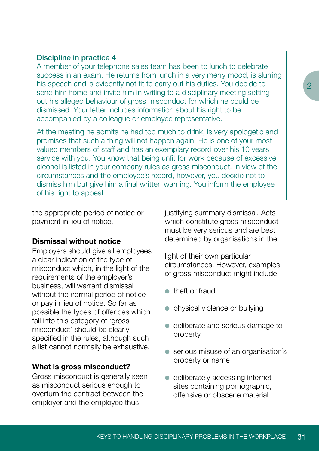#### <span id="page-32-0"></span>Discipline in practice 4

A member of your telephone sales team has been to lunch to celebrate success in an exam. He returns from lunch in a very merry mood, is slurring his speech and is evidently not fit to carry out his duties. You decide to send him home and invite him in writing to a disciplinary meeting setting out his alleged behaviour of gross misconduct for which he could be dismissed. Your letter includes information about his right to be accompanied by a colleague or employee representative.

At the meeting he admits he had too much to drink, is very apologetic and promises that such a thing will not happen again. He is one of your most valued members of staff and has an exemplary record over his 10 years service with you. You know that being unfit for work because of excessive alcohol is listed in your company rules as gross misconduct. In view of the circumstances and the employee's record, however, you decide not to dismiss him but give him a final written warning. You inform the employee of his right to appeal.

the appropriate period of notice or payment in lieu of notice.

#### Dismissal without notice

Employers should give all employees a clear indication of the type of misconduct which, in the light of the requirements of the employer's business, will warrant dismissal without the normal period of notice or pay in lieu of notice. So far as possible the types of offences which fall into this category of 'gross misconduct' should be clearly specified in the rules, although such a list cannot normally be exhaustive.

#### What is gross misconduct?

Gross misconduct is generally seen as misconduct serious enough to overturn the contract between the employer and the employee thus

justifying summary dismissal. Acts which constitute gross misconduct must be very serious and are best determined by organisations in the

light of their own particular circumstances. However, examples of gross misconduct might include:

- theft or fraud
- physical violence or bullying
- deliberate and serious damage to property
- serious misuse of an organisation's property or name
- deliberately accessing internet sites containing pornographic, offensive or obscene material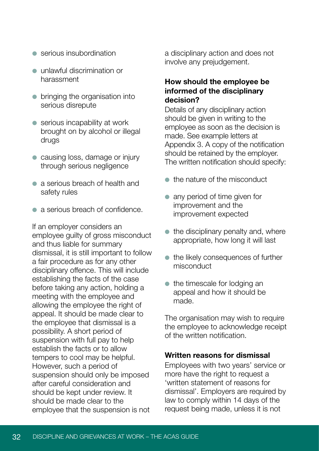- serious insubordination
- unlawful discrimination or harassment
- bringing the organisation into serious disrepute
- serious incapability at work brought on by alcohol or illegal drugs
- causing loss, damage or injury through serious negligence
- a serious breach of health and safety rules
- a serious breach of confidence.

If an employer considers an employee guilty of gross misconduct and thus liable for summary dismissal, it is still important to follow a fair procedure as for any other disciplinary offence. This will include establishing the facts of the case before taking any action, holding a meeting with the employee and allowing the employee the right of appeal. It should be made clear to the employee that dismissal is a possibility. A short period of suspension with full pay to help establish the facts or to allow tempers to cool may be helpful. However, such a period of suspension should only be imposed after careful consideration and should be kept under review. It should be made clear to the employee that the suspension is not

a disciplinary action and does not involve any prejudgement.

#### How should the employee be informed of the disciplinary decision?

Details of any disciplinary action should be given in writing to the employee as soon as the decision is made. See example letters at Appendix 3. A copy of the notification should be retained by the employer. The written notification should specify:

- the nature of the misconduct
- any period of time given for improvement and the improvement expected
- $\bullet$  the disciplinary penalty and, where appropriate, how long it will last
- the likely consequences of further misconduct
- the timescale for lodging an appeal and how it should be made.

The organisation may wish to require the employee to acknowledge receipt of the written notification.

#### Written reasons for dismissal

Employees with two years' service or more have the right to request a 'written statement of reasons for dismissal'. Employers are required by law to comply within 14 days of the request being made, unless it is not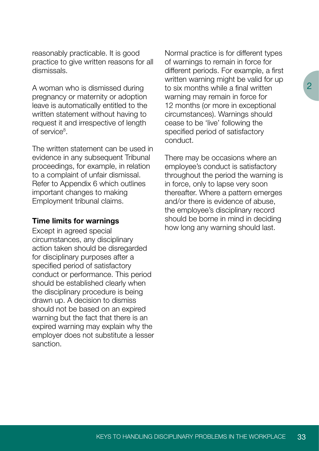reasonably practicable. It is good practice to give written reasons for all dismissals.

A woman who is dismissed during pregnancy or maternity or adoption leave is automatically entitled to the written statement without having to request it and irrespective of length of service<sup>8</sup>.

The written statement can be used in evidence in any subsequent Tribunal proceedings, for example, in relation to a complaint of unfair dismissal. Refer to Appendix 6 which outlines important changes to making Employment tribunal claims.

#### Time limits for warnings

Except in agreed special circumstances, any disciplinary action taken should be disregarded for disciplinary purposes after a specified period of satisfactory conduct or performance. This period should be established clearly when the disciplinary procedure is being drawn up. A decision to dismiss should not be based on an expired warning but the fact that there is an expired warning may explain why the employer does not substitute a lesser sanction.

Normal practice is for different types of warnings to remain in force for different periods. For example, a first written warning might be valid for up to six months while a final written warning may remain in force for 12 months (or more in exceptional circumstances). Warnings should cease to be 'live' following the specified period of satisfactory conduct.

There may be occasions where an employee's conduct is satisfactory throughout the period the warning is in force, only to lapse very soon thereafter. Where a pattern emerges and/or there is evidence of abuse, the employee's disciplinary record should be borne in mind in deciding how long any warning should last.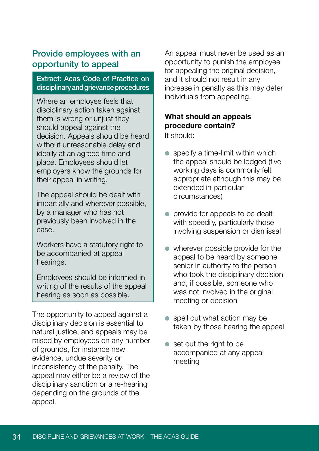#### Provide employees with an opportunity to appeal

#### Extract: Acas Code of Practice on disciplinary and grievance procedures

Where an employee feels that disciplinary action taken against them is wrong or unjust they should appeal against the decision. Appeals should be heard without unreasonable delay and ideally at an agreed time and place. Employees should let employers know the grounds for their appeal in writing.

The appeal should be dealt with impartially and wherever possible, by a manager who has not previously been involved in the case.

Workers have a statutory right to be accompanied at appeal hearings.

Employees should be informed in writing of the results of the appeal hearing as soon as possible.

The opportunity to appeal against a disciplinary decision is essential to natural justice, and appeals may be raised by employees on any number of grounds, for instance new evidence, undue severity or inconsistency of the penalty. The appeal may either be a review of the disciplinary sanction or a re-hearing depending on the grounds of the appeal.

An appeal must never be used as an opportunity to punish the employee for appealing the original decision, and it should not result in any increase in penalty as this may deter individuals from appealing.

#### What should an appeals procedure contain?

It should:

- $\bullet$  specify a time-limit within which the appeal should be lodged (five working days is commonly felt appropriate although this may be extended in particular circumstances)
- provide for appeals to be dealt with speedily, particularly those involving suspension or dismissal
- wherever possible provide for the appeal to be heard by someone senior in authority to the person who took the disciplinary decision and, if possible, someone who was not involved in the original meeting or decision
- spell out what action may be taken by those hearing the appeal
- set out the right to be accompanied at any appeal meeting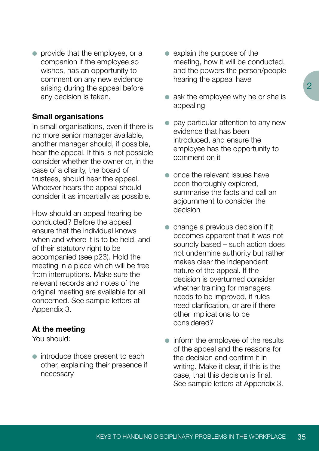● provide that the employee, or a companion if the employee so wishes, has an opportunity to comment on any new evidence arising during the appeal before any decision is taken.

### Small organisations

In small organisations, even if there is no more senior manager available, another manager should, if possible, hear the appeal. If this is not possible consider whether the owner or, in the case of a charity, the board of trustees, should hear the appeal. Whoever hears the appeal should consider it as impartially as possible.

How should an appeal hearing be conducted? Before the appeal ensure that the individual knows when and where it is to be held, and of their statutory right to be accompanied [\(see p23](#page-24-0)). Hold the meeting in a place which will be free from interruptions. Make sure the relevant records and notes of the original meeting are available for all concerned. See sample letters at Appendix 3.

### At the meeting

You should:

● introduce those present to each other, explaining their presence if necessary

- explain the purpose of the meeting, how it will be conducted, and the powers the person/people hearing the appeal have
- ask the employee why he or she is appealing
- pay particular attention to any new evidence that has been introduced, and ensure the employee has the opportunity to comment on it
- once the relevant issues have been thoroughly explored, summarise the facts and call an adjournment to consider the decision
- change a previous decision if it becomes apparent that it was not soundly based – such action does not undermine authority but rather makes clear the independent nature of the appeal. If the decision is overturned consider whether training for managers needs to be improved, if rules need clarification, or are if there other implications to be considered?
- inform the employee of the results of the appeal and the reasons for the decision and confirm it in writing. Make it clear, if this is the case, that this decision is final. See sample letters at Appendix 3.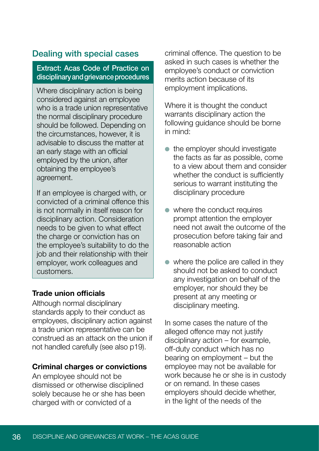# Dealing with special cases

# Extract: Acas Code of Practice on disciplinary and grievance procedures

Where disciplinary action is being considered against an employee who is a trade union representative the normal disciplinary procedure should be followed. Depending on the circumstances, however, it is advisable to discuss the matter at an early stage with an official employed by the union, after obtaining the employee's agreement.

If an employee is charged with, or convicted of a criminal offence this is not normally in itself reason for disciplinary action. Consideration needs to be given to what effect the charge or conviction has on the employee's suitability to do the job and their relationship with their employer, work colleagues and customers.

# Trade union officials

Although normal disciplinary standards apply to their conduct as employees, disciplinary action against a trade union representative can be construed as an attack on the union if not handled carefully (see also p19).

### Criminal charges or convictions

An employee should not be dismissed or otherwise disciplined solely because he or she has been charged with or convicted of a

criminal offence. The question to be asked in such cases is whether the employee's conduct or conviction merits action because of its employment implications.

Where it is thought the conduct warrants disciplinary action the following guidance should be borne in mind:

- the employer should investigate the facts as far as possible, come to a view about them and consider whether the conduct is sufficiently serious to warrant instituting the disciplinary procedure
- where the conduct requires prompt attention the employer need not await the outcome of the prosecution before taking fair and reasonable action
- $\bullet$  where the police are called in they should not be asked to conduct any investigation on behalf of the employer, nor should they be present at any meeting or disciplinary meeting.

In some cases the nature of the alleged offence may not justify disciplinary action – for example, off-duty conduct which has no bearing on employment – but the employee may not be available for work because he or she is in custody or on remand. In these cases employers should decide whether, in the light of the needs of the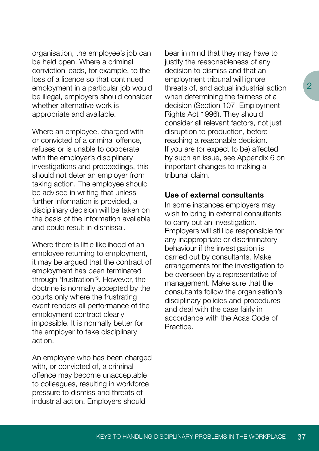organisation, the employee's job can be held open. Where a criminal conviction leads, for example, to the loss of a licence so that continued employment in a particular job would be illegal, employers should consider whether alternative work is appropriate and available.

Where an employee, charged with or convicted of a criminal offence, refuses or is unable to cooperate with the employer's disciplinary investigations and proceedings, this should not deter an employer from taking action. The employee should be advised in writing that unless further information is provided, a disciplinary decision will be taken on the basis of the information available and could result in dismissal.

Where there is little likelihood of an employee returning to employment, it may be argued that the contract of employment has been terminated through 'frustration'9 . However, the doctrine is normally accepted by the courts only where the frustrating event renders all performance of the employment contract clearly impossible. It is normally better for the employer to take disciplinary action.

An employee who has been charged with, or convicted of, a criminal offence may become unacceptable to colleagues, resulting in workforce pressure to dismiss and threats of industrial action. Employers should

bear in mind that they may have to justify the reasonableness of any decision to dismiss and that an employment tribunal will ignore threats of, and actual industrial action when determining the fairness of a decision (Section 107, Employment Rights Act 1996). They should consider all relevant factors, not just disruption to production, before reaching a reasonable decision. If you are (or expect to be) affected by such an issue, [see Appendix 6](#page-81-0) on important changes to making a tribunal claim.

### Use of external consultants

In some instances employers may wish to bring in external consultants to carry out an investigation. Employers will still be responsible for any inappropriate or discriminatory behaviour if the investigation is carried out by consultants. Make arrangements for the investigation to be overseen by a representative of management. Make sure that the consultants follow the organisation's disciplinary policies and procedures and deal with the case fairly in accordance with the Acas Code of **Practice**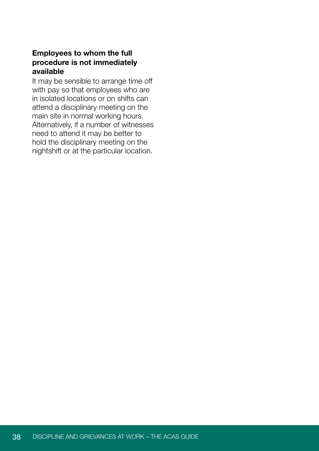# Employees to whom the full procedure is not immediately available

It may be sensible to arrange time off with pay so that employees who are in isolated locations or on shifts can attend a disciplinary meeting on the main site in normal working hours. Alternatively, if a number of witnesses need to attend it may be better to hold the disciplinary meeting on the nightshift or at the particular location.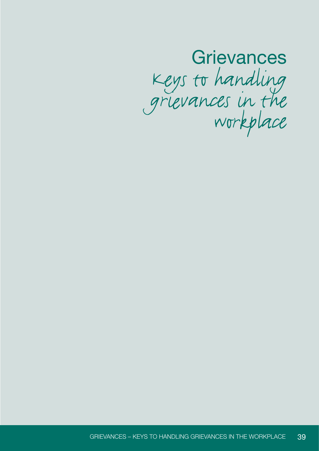**Grievances** Keys to handling grievances in the workplace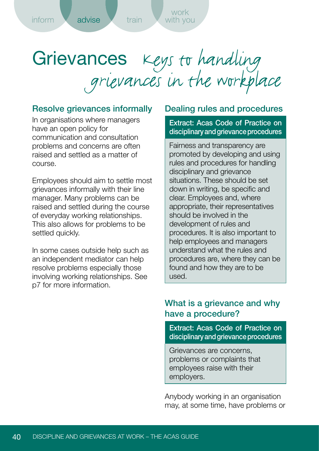work with you

# Grievances Keys to handling<br>grievances in the workplace

# Resolve grievances informally

In organisations where managers have an open policy for communication and consultation problems and concerns are often raised and settled as a matter of course.

Employees should aim to settle most grievances informally with their line manager. Many problems can be raised and settled during the course of everyday working relationships. This also allows for problems to be settled quickly.

In some cases outside help such as an independent mediator can help resolve problems especially those involving working relationships. [See](#page-8-0)  [p7](#page-8-0) for more information.

# Dealing rules and procedures

Extract: Acas Code of Practice on disciplinary and grievance procedures

Fairness and transparency are promoted by developing and using rules and procedures for handling disciplinary and grievance situations. These should be set down in writing, be specific and clear. Employees and, where appropriate, their representatives should be involved in the development of rules and procedures. It is also important to help employees and managers understand what the rules and procedures are, where they can be found and how they are to be used.

# What is a grievance and why have a procedure?

Extract: Acas Code of Practice on disciplinary and grievance procedures

Grievances are concerns, problems or complaints that employees raise with their employers.

Anybody working in an organisation may, at some time, have problems or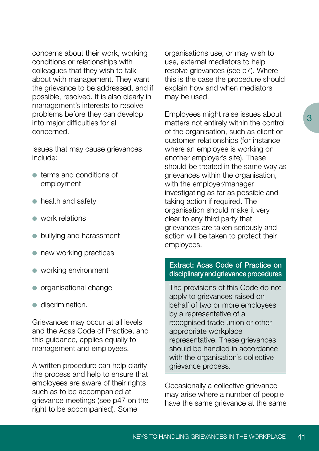concerns about their work, working conditions or relationships with colleagues that they wish to talk about with management. They want the grievance to be addressed, and if possible, resolved. It is also clearly in management's interests to resolve problems before they can develop into major difficulties for all concerned.

Issues that may cause grievances include:

- terms and conditions of employment
- health and safety
- work relations
- bullving and harassment
- new working practices
- working environment
- organisational change
- discrimination

Grievances may occur at all levels and the Acas Code of Practice, and this guidance, applies equally to management and employees.

A written procedure can help clarify the process and help to ensure that employees are aware of their rights such as to be accompanied at grievance meetings [\(see p47](#page-48-0) on the right to be accompanied). Some

organisations use, or may wish to use, external mediators to help resolve grievances ([see p7](#page-8-0)). Where this is the case the procedure should explain how and when mediators may be used.

Employees might raise issues about matters not entirely within the control of the organisation, such as client or customer relationships (for instance where an employee is working on another employer's site). These should be treated in the same way as grievances within the organisation, with the employer/manager investigating as far as possible and taking action if required. The organisation should make it very clear to any third party that grievances are taken seriously and action will be taken to protect their employees.

# Extract: Acas Code of Practice on disciplinary and grievance procedures

The provisions of this Code do not apply to grievances raised on behalf of two or more employees by a representative of a recognised trade union or other appropriate workplace representative. These grievances should be handled in accordance with the organisation's collective grievance process.

Occasionally a collective grievance may arise where a number of people have the same grievance at the same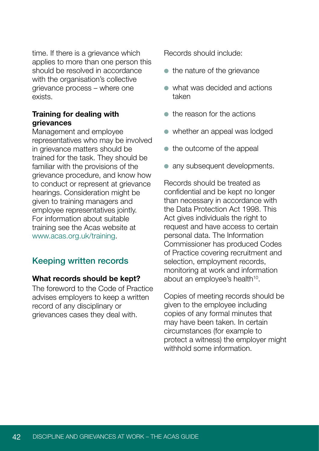time. If there is a grievance which applies to more than one person this should be resolved in accordance with the organisation's collective grievance process – where one exists.

# Training for dealing with grievances

Management and employee representatives who may be involved in grievance matters should be trained for the task. They should be familiar with the provisions of the grievance procedure, and know how to conduct or represent at grievance hearings. Consideration might be given to training managers and employee representatives jointly. For information about suitable training see the Acas website at [www.acas.org.uk/](www.acas.org.uk/training)training.

# Keeping written records

## What records should be kept?

The foreword to the Code of Practice advises employers to keep a written record of any disciplinary or grievances cases they deal with.

Records should include:

- the nature of the grievance
- what was decided and actions taken
- the reason for the actions
- whether an appeal was lodged
- the outcome of the appeal
- any subsequent developments.

Records should be treated as confidential and be kept no longer than necessary in accordance with the Data Protection Act 1998. This Act gives individuals the right to request and have access to certain personal data. The Information Commissioner has produced Codes of Practice covering recruitment and selection, employment records, monitoring at work and information about an employee's health<sup>10</sup>.

Copies of meeting records should be given to the employee including copies of any formal minutes that may have been taken. In certain circumstances (for example to protect a witness) the employer might withhold some information.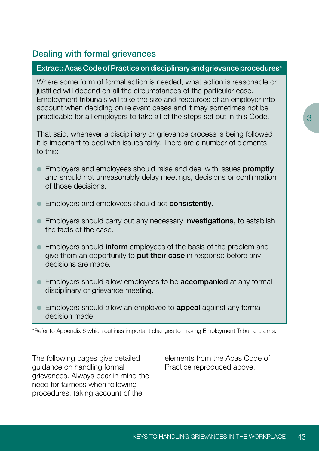# Dealing with formal grievances

# Extract: Acas Code of Practice on disciplinary and grievance procedures\*

Where some form of formal action is needed, what action is reasonable or justified will depend on all the circumstances of the particular case. Employment tribunals will take the size and resources of an employer into account when deciding on relevant cases and it may sometimes not be practicable for all employers to take all of the steps set out in this Code.

That said, whenever a disciplinary or grievance process is being followed it is important to deal with issues fairly. There are a number of elements to this:

- **Employers and employees should raise and deal with issues promptly** and should not unreasonably delay meetings, decisions or confirmation of those decisions.
- **Employers and employees should act consistently.**
- Employers should carry out any necessary *investigations*, to establish the facts of the case.
- **Employers should inform** employees of the basis of the problem and give them an opportunity to **put their case** in response before any decisions are made.
- Employers should allow employees to be **accompanied** at any formal disciplinary or grievance meeting.
- Employers should allow an employee to **appeal** against any formal decision made.

\*Refer to Appendix 6 which outlines important changes to making Employment Tribunal claims.

The following pages give detailed guidance on handling formal grievances. Always bear in mind the need for fairness when following procedures, taking account of the

elements from the Acas Code of Practice reproduced above.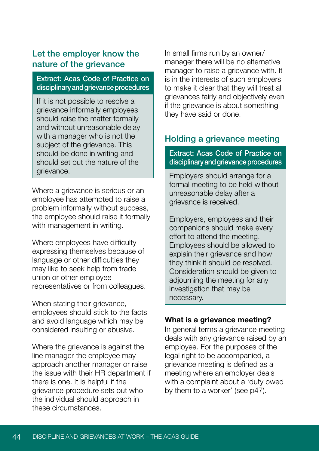# Let the employer know the nature of the grievance

# Extract: Acas Code of Practice on disciplinary and grievance procedures

If it is not possible to resolve a grievance informally employees should raise the matter formally and without unreasonable delay with a manager who is not the subject of the grievance. This should be done in writing and should set out the nature of the grievance.

Where a grievance is serious or an employee has attempted to raise a problem informally without success, the employee should raise it formally with management in writing.

Where employees have difficulty expressing themselves because of language or other difficulties they may like to seek help from trade union or other employee representatives or from colleagues.

When stating their grievance, employees should stick to the facts and avoid language which may be considered insulting or abusive.

Where the grievance is against the line manager the employee may approach another manager or raise the issue with their HR department if there is one. It is helpful if the grievance procedure sets out who the individual should approach in these circumstances.

In small firms run by an owner/ manager there will be no alternative manager to raise a grievance with. It is in the interests of such employers to make it clear that they will treat all grievances fairly and objectively even if the grievance is about something they have said or done.

# Holding a grievance meeting

# Extract: Acas Code of Practice on disciplinary and grievance procedures

Employers should arrange for a formal meeting to be held without unreasonable delay after a grievance is received.

Employers, employees and their companions should make every effort to attend the meeting. Employees should be allowed to explain their grievance and how they think it should be resolved. Consideration should be given to adjourning the meeting for any investigation that may be necessary.

# What is a grievance meeting?

In general terms a grievance meeting deals with any grievance raised by an employee. For the purposes of the legal right to be accompanied, a grievance meeting is defined as a meeting where an employer deals with a complaint about a 'duty owed by them to a worker' [\(see p47\)](#page-48-0).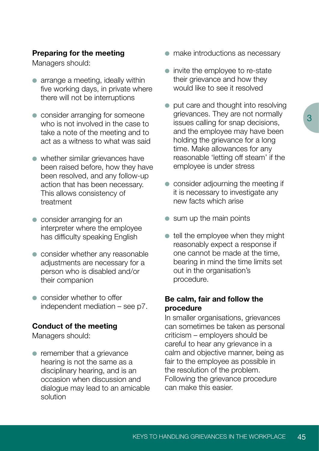# Preparing for the meeting

Managers should:

- $\bullet$  arrange a meeting, ideally within five working days, in private where there will not be interruptions
- consider arranging for someone who is not involved in the case to take a note of the meeting and to act as a witness to what was said
- whether similar grievances have been raised before, how they have been resolved, and any follow-up action that has been necessary. This allows consistency of treatment
- consider arranging for an interpreter where the employee has difficulty speaking English
- consider whether any reasonable adjustments are necessary for a person who is disabled and/or their companion
- consider whether to offer independent mediation – [see p7](#page-8-0).

# Conduct of the meeting

Managers should:

● remember that a grievance hearing is not the same as a disciplinary hearing, and is an occasion when discussion and dialogue may lead to an amicable solution

- make introductions as necessary
- invite the employee to re-state their grievance and how they would like to see it resolved
- put care and thought into resolving grievances. They are not normally issues calling for snap decisions, and the employee may have been holding the grievance for a long time. Make allowances for any reasonable 'letting off steam' if the employee is under stress
- consider adjourning the meeting if it is necessary to investigate any new facts which arise
- sum up the main points
- tell the employee when they might reasonably expect a response if one cannot be made at the time, bearing in mind the time limits set out in the organisation's procedure.

# Be calm, fair and follow the procedure

In smaller organisations, grievances can sometimes be taken as personal criticism – employers should be careful to hear any grievance in a calm and objective manner, being as fair to the employee as possible in the resolution of the problem. Following the grievance procedure can make this easier.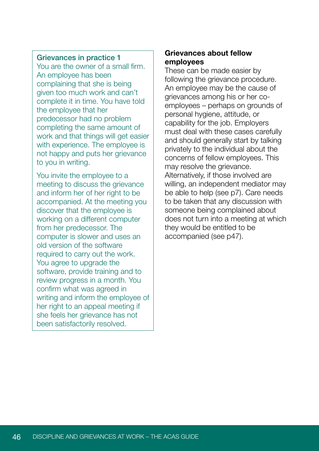# Grievances in practice 1

You are the owner of a small firm. An employee has been complaining that she is being given too much work and can't complete it in time. You have told the employee that her predecessor had no problem completing the same amount of work and that things will get easier with experience. The employee is not happy and puts her grievance to you in writing.

You invite the employee to a meeting to discuss the grievance and inform her of her right to be accompanied. At the meeting you discover that the employee is working on a different computer from her predecessor. The computer is slower and uses an old version of the software required to carry out the work. You agree to upgrade the software, provide training and to review progress in a month. You confirm what was agreed in writing and inform the employee of her right to an appeal meeting if she feels her grievance has not been satisfactorily resolved.

# Grievances about fellow employees

These can be made easier by following the grievance procedure. An employee may be the cause of grievances among his or her coemployees – perhaps on grounds of personal hygiene, attitude, or capability for the job. Employers must deal with these cases carefully and should generally start by talking privately to the individual about the concerns of fellow employees. This may resolve the grievance. Alternatively, if those involved are willing, an independent mediator may be able to help ([see p7\)](#page-8-0). Care needs to be taken that any discussion with someone being complained about does not turn into a meeting at which they would be entitled to be accompanied [\(see p47](#page-48-0)).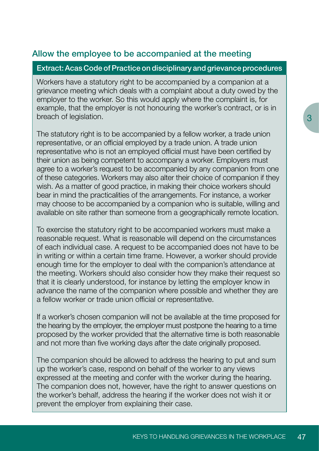# <span id="page-48-0"></span>Allow the employee to be accompanied at the meeting

### Extract: Acas Code of Practice on disciplinary and grievance procedures

Workers have a statutory right to be accompanied by a companion at a grievance meeting which deals with a complaint about a duty owed by the employer to the worker. So this would apply where the complaint is, for example, that the employer is not honouring the worker's contract, or is in breach of legislation.

The statutory right is to be accompanied by a fellow worker, a trade union representative, or an official employed by a trade union. A trade union representative who is not an employed official must have been certified by their union as being competent to accompany a worker. Employers must agree to a worker's request to be accompanied by any companion from one of these categories. Workers may also alter their choice of companion if they wish. As a matter of good practice, in making their choice workers should bear in mind the practicalities of the arrangements. For instance, a worker may choose to be accompanied by a companion who is suitable, willing and available on site rather than someone from a geographically remote location.

To exercise the statutory right to be accompanied workers must make a reasonable request. What is reasonable will depend on the circumstances of each individual case. A request to be accompanied does not have to be in writing or within a certain time frame. However, a worker should provide enough time for the employer to deal with the companion's attendance at the meeting. Workers should also consider how they make their request so that it is clearly understood, for instance by letting the employer know in advance the name of the companion where possible and whether they are a fellow worker or trade union official or representative.

If a worker's chosen companion will not be available at the time proposed for the hearing by the employer, the employer must postpone the hearing to a time proposed by the worker provided that the alternative time is both reasonable and not more than five working days after the date originally proposed.

The companion should be allowed to address the hearing to put and sum up the worker's case, respond on behalf of the worker to any views expressed at the meeting and confer with the worker during the hearing. The companion does not, however, have the right to answer questions on the worker's behalf, address the hearing if the worker does not wish it or prevent the employer from explaining their case.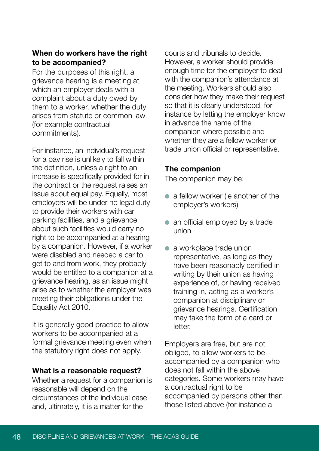# When do workers have the right to be accompanied?

For the purposes of this right, a grievance hearing is a meeting at which an employer deals with a complaint about a duty owed by them to a worker, whether the duty arises from statute or common law (for example contractual commitments).

For instance, an individual's request for a pay rise is unlikely to fall within the definition, unless a right to an increase is specifically provided for in the contract or the request raises an issue about equal pay. Equally, most employers will be under no legal duty to provide their workers with car parking facilities, and a grievance about such facilities would carry no right to be accompanied at a hearing by a companion. However, if a worker were disabled and needed a car to get to and from work, they probably would be entitled to a companion at a grievance hearing, as an issue might arise as to whether the employer was meeting their obligations under the Equality Act 2010.

It is generally good practice to allow workers to be accompanied at a formal grievance meeting even when the statutory right does not apply.

## What is a reasonable request?

Whether a request for a companion is reasonable will depend on the circumstances of the individual case and, ultimately, it is a matter for the

courts and tribunals to decide. However, a worker should provide enough time for the employer to deal with the companion's attendance at the meeting. Workers should also consider how they make their request so that it is clearly understood, for instance by letting the employer know in advance the name of the companion where possible and whether they are a fellow worker or trade union official or representative.

### The companion

The companion may be:

- $\bullet$  a fellow worker (ie another of the employer's workers)
- an official employed by a trade union
- a workplace trade union representative, as long as they have been reasonably certified in writing by their union as having experience of, or having received training in, acting as a worker's companion at disciplinary or grievance hearings. Certification may take the form of a card or letter.

Employers are free, but are not obliged, to allow workers to be accompanied by a companion who does not fall within the above categories. Some workers may have a contractual right to be accompanied by persons other than those listed above (for instance a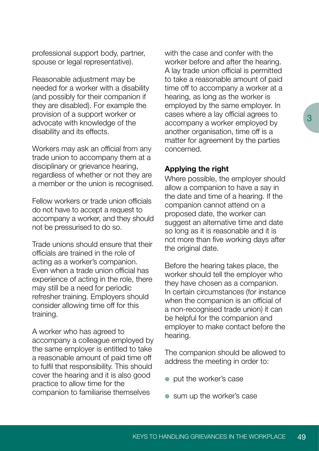professional support body, partner, spouse or legal representative).

Reasonable adjustment may be needed for a worker with a disability (and possibly for their companion if they are disabled). For example the provision of a support worker or advocate with knowledge of the disability and its effects.

Workers may ask an official from any trade union to accompany them at a disciplinary or grievance hearing. regardless of whether or not they are a member or the union is recognised.

Fellow workers or trade union officials do not have to accept a request to accompany a worker, and they should not be pressurised to do so.

Trade unions should ensure that their officials are trained in the role of acting as a worker's companion. Even when a trade union official has experience of acting in the role, there may still be a need for periodic refresher training. Employers should consider allowing time off for this training.

A worker who has agreed to accompany a colleague employed by the same employer is entitled to take a reasonable amount of paid time off to fulfil that responsibility. This should cover the hearing and it is also good practice to allow time for the companion to familiarise themselves

with the case and confer with the worker before and after the hearing. A lay trade union official is permitted to take a reasonable amount of paid time off to accompany a worker at a hearing, as long as the worker is employed by the same employer. In cases where a lay official agrees to accompany a worker employed by another organisation, time off is a matter for agreement by the parties concerned.

### Applying the right

Where possible, the employer should allow a companion to have a say in the date and time of a hearing. If the companion cannot attend on a proposed date, the worker can suggest an alternative time and date so long as it is reasonable and it is not more than five working days after the original date.

Before the hearing takes place, the worker should tell the employer who they have chosen as a companion. In certain circumstances (for instance when the companion is an official of a non-recognised trade union) it can be helpful for the companion and employer to make contact before the hearing.

The companion should be allowed to address the meeting in order to:

- put the worker's case
- sum up the worker's case

3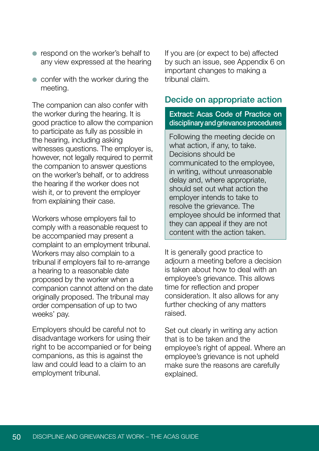- respond on the worker's behalf to any view expressed at the hearing
- confer with the worker during the meeting.

The companion can also confer with the worker during the hearing. It is good practice to allow the companion to participate as fully as possible in the hearing, including asking witnesses questions. The employer is, however, not legally required to permit the companion to answer questions on the worker's behalf, or to address the hearing if the worker does not wish it, or to prevent the employer from explaining their case.

Workers whose employers fail to comply with a reasonable request to be accompanied may present a complaint to an employment tribunal. Workers may also complain to a tribunal if employers fail to re-arrange a hearing to a reasonable date proposed by the worker when a companion cannot attend on the date originally proposed. The tribunal may order compensation of up to two weeks' pay.

Employers should be careful not to disadvantage workers for using their right to be accompanied or for being companions, as this is against the law and could lead to a claim to an employment tribunal.

If you are (or expect to be) affected by such an issue, [see Appendix 6](#page-81-0) on important changes to making a tribunal claim.

# Decide on appropriate action

Extract: Acas Code of Practice on disciplinary and grievance procedures

Following the meeting decide on what action, if any, to take. Decisions should be communicated to the employee, in writing, without unreasonable delay and, where appropriate, should set out what action the employer intends to take to resolve the grievance. The employee should be informed that they can appeal if they are not content with the action taken.

It is generally good practice to adjourn a meeting before a decision is taken about how to deal with an employee's grievance. This allows time for reflection and proper consideration. It also allows for any further checking of any matters raised.

Set out clearly in writing any action that is to be taken and the employee's right of appeal. Where an employee's grievance is not upheld make sure the reasons are carefully explained.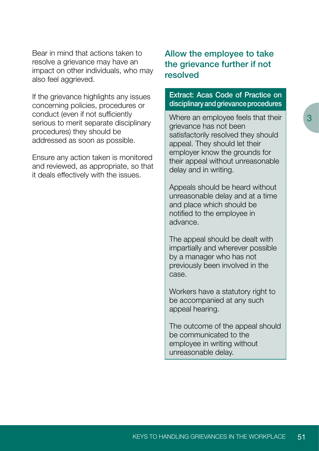Bear in mind that actions taken to resolve a grievance may have an impact on other individuals, who may also feel aggrieved.

If the grievance highlights any issues concerning policies, procedures or conduct (even if not sufficiently serious to merit separate disciplinary procedures) they should be addressed as soon as possible.

Ensure any action taken is monitored and reviewed, as appropriate, so that it deals effectively with the issues.

# Allow the employee to take the grievance further if not resolved

# Extract: Acas Code of Practice on disciplinary and grievance procedures

Where an employee feels that their grievance has not been satisfactorily resolved they should appeal. They should let their employer know the grounds for their appeal without unreasonable delay and in writing.

Appeals should be heard without unreasonable delay and at a time and place which should be notified to the employee in advance.

The appeal should be dealt with impartially and wherever possible by a manager who has not previously been involved in the case.

Workers have a statutory right to be accompanied at any such appeal hearing.

The outcome of the appeal should be communicated to the employee in writing without unreasonable delay.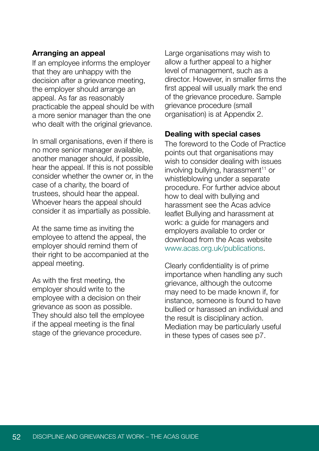# Arranging an appeal

If an employee informs the employer that they are unhappy with the decision after a grievance meeting. the employer should arrange an appeal. As far as reasonably practicable the appeal should be with a more senior manager than the one who dealt with the original grievance.

In small organisations, even if there is no more senior manager available, another manager should, if possible, hear the appeal. If this is not possible consider whether the owner or, in the case of a charity, the board of trustees, should hear the appeal. Whoever hears the appeal should consider it as impartially as possible.

At the same time as inviting the employee to attend the appeal, the employer should remind them of their right to be accompanied at the appeal meeting.

As with the first meeting, the employer should write to the employee with a decision on their grievance as soon as possible. They should also tell the employee if the appeal meeting is the final stage of the grievance procedure.

Large organisations may wish to allow a further appeal to a higher level of management, such as a director. However, in smaller firms the first appeal will usually mark the end of the grievance procedure. Sample grievance procedure (small organisation) is at Appendix 2.

### Dealing with special cases

The foreword to the Code of Practice points out that organisations may wish to consider dealing with issues involving bullying, harassment<sup>11</sup> or whistleblowing under a separate procedure. For further advice about how to deal with bullying and harassment see the Acas advice leaflet Bullying and harassment at work: a guide for managers and employers available to order or download from the Acas website <www.acas.org.uk/publications>.

Clearly confidentiality is of prime importance when handling any such grievance, although the outcome may need to be made known if, for instance, someone is found to have bullied or harassed an individual and the result is disciplinary action. Mediation may be particularly useful in these types of cases [see p7](#page-8-0).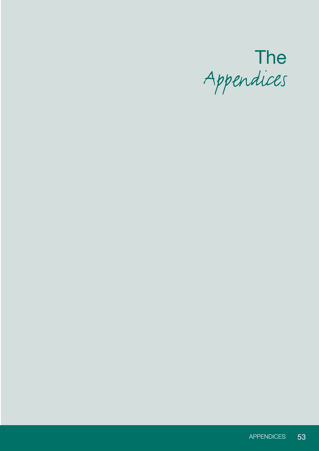# The Appendices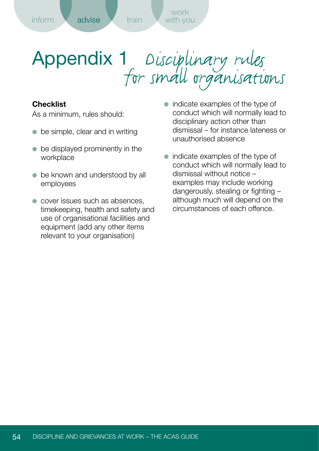work with you

# Appendix 1 Disciplinary rules<br>for small organisations

# Checklist

As a minimum, rules should:

- be simple, clear and in writing
- be displayed prominently in the workplace
- be known and understood by all employees
- cover issues such as absences. timekeeping, health and safety and use of organisational facilities and equipment (add any other items relevant to your organisation)
- indicate examples of the type of conduct which will normally lead to disciplinary action other than dismissal – for instance lateness or unauthorised absence
- indicate examples of the type of conduct which will normally lead to dismissal without notice – examples may include working dangerously, stealing or fighting – although much will depend on the circumstances of each offence.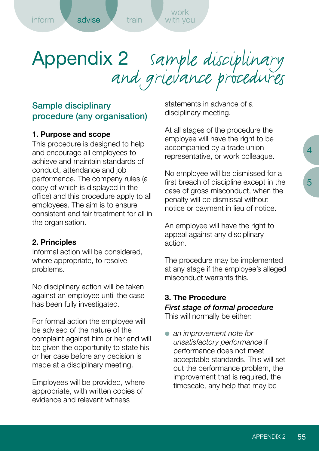work with you

# Appendix 2 Sample disciplinary and grievance procedures

# Sample disciplinary procedure (any organisation)

# 1. Purpose and scope

This procedure is designed to help and encourage all employees to achieve and maintain standards of conduct, attendance and job performance. The company rules (a copy of which is displayed in the office) and this procedure apply to all employees. The aim is to ensure consistent and fair treatment for all in the organisation.

# 2. Principles

Informal action will be considered, where appropriate, to resolve problems.

No disciplinary action will be taken against an employee until the case has been fully investigated.

For formal action the employee will be advised of the nature of the complaint against him or her and will be given the opportunity to state his or her case before any decision is made at a disciplinary meeting.

Employees will be provided, where appropriate, with written copies of evidence and relevant witness

statements in advance of a disciplinary meeting.

At all stages of the procedure the employee will have the right to be accompanied by a trade union representative, or work colleague.

No employee will be dismissed for a first breach of discipline except in the case of gross misconduct, when the penalty will be dismissal without notice or payment in lieu of notice.

An employee will have the right to appeal against any disciplinary action.

The procedure may be implemented at any stage if the employee's alleged misconduct warrants this.

# 3. The Procedure *First stage of formal procedure*  This will normally be either:

● *an improvement note for unsatisfactory performance* if performance does not meet acceptable standards. This will set out the performance problem, the improvement that is required, the timescale, any help that may be

5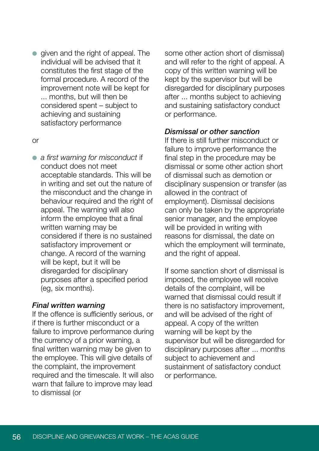• given and the right of appeal. The individual will be advised that it constitutes the first stage of the formal procedure. A record of the improvement note will be kept for ... months, but will then be considered spent – subject to achieving and sustaining satisfactory performance

### or

● *a first warning for misconduct* if conduct does not meet acceptable standards. This will be in writing and set out the nature of the misconduct and the change in behaviour required and the right of appeal. The warning will also inform the employee that a final written warning may be considered if there is no sustained satisfactory improvement or change. A record of the warning will be kept, but it will be disregarded for disciplinary purposes after a specified period (eg, six months).

## *Final written warning*

If the offence is sufficiently serious, or if there is further misconduct or a failure to improve performance during the currency of a prior warning, a final written warning may be given to the employee. This will give details of the complaint, the improvement required and the timescale. It will also warn that failure to improve may lead to dismissal (or

some other action short of dismissal) and will refer to the right of appeal. A copy of this written warning will be kept by the supervisor but will be disregarded for disciplinary purposes after ... months subject to achieving and sustaining satisfactory conduct or performance.

# *Dismissal or other sanction*

If there is still further misconduct or failure to improve performance the final step in the procedure may be dismissal or some other action short of dismissal such as demotion or disciplinary suspension or transfer (as allowed in the contract of employment). Dismissal decisions can only be taken by the appropriate senior manager, and the employee will be provided in writing with reasons for dismissal, the date on which the employment will terminate. and the right of appeal.

If some sanction short of dismissal is imposed, the employee will receive details of the complaint, will be warned that dismissal could result if there is no satisfactory improvement, and will be advised of the right of appeal. A copy of the written warning will be kept by the supervisor but will be disregarded for disciplinary purposes after ... months subject to achievement and sustainment of satisfactory conduct or performance.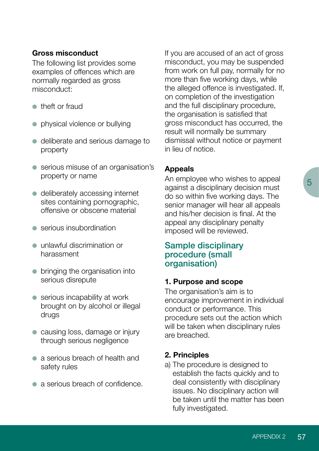# Gross misconduct

The following list provides some examples of offences which are normally regarded as gross misconduct:

- theft or fraud
- physical violence or bullying
- deliberate and serious damage to property
- serious misuse of an organisation's property or name
- deliberately accessing internet sites containing pornographic, offensive or obscene material
- serious insubordination
- unlawful discrimination or harassment
- bringing the organisation into serious disrepute
- serious incapability at work brought on by alcohol or illegal druas
- causing loss, damage or injury through serious negligence
- a serious breach of health and safety rules
- a serious breach of confidence.

If you are accused of an act of gross misconduct, you may be suspended from work on full pay, normally for no more than five working days, while the alleged offence is investigated. If, on completion of the investigation and the full disciplinary procedure, the organisation is satisfied that gross misconduct has occurred, the result will normally be summary dismissal without notice or payment in lieu of notice.

### Appeals

An employee who wishes to appeal against a disciplinary decision must do so within five working days. The senior manager will hear all appeals and his/her decision is final. At the appeal any disciplinary penalty imposed will be reviewed.

# Sample disciplinary procedure (small organisation)

### 1. Purpose and scope

The organisation's aim is to encourage improvement in individual conduct or performance. This procedure sets out the action which will be taken when disciplinary rules are breached.

### 2. Principles

a) The procedure is designed to establish the facts quickly and to deal consistently with disciplinary issues. No disciplinary action will be taken until the matter has been fully investigated.

5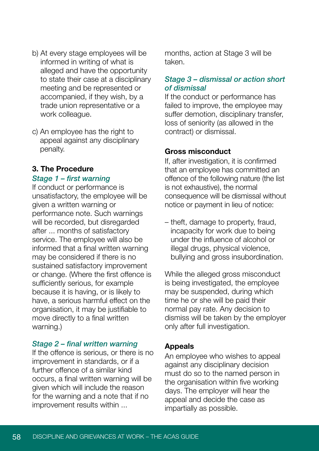- b) At every stage employees will be informed in writing of what is alleged and have the opportunity to state their case at a disciplinary meeting and be represented or accompanied, if they wish, by a trade union representative or a work colleague.
- c) An employee has the right to appeal against any disciplinary penalty.

## 3. The Procedure

### *Stage 1 – first warning*

If conduct or performance is unsatisfactory, the employee will be given a written warning or performance note. Such warnings will be recorded, but disregarded after ... months of satisfactory service. The employee will also be informed that a final written warning may be considered if there is no sustained satisfactory improvement or change. (Where the first offence is sufficiently serious, for example because it is having, or is likely to have, a serious harmful effect on the organisation, it may be justifiable to move directly to a final written warning.)

### *Stage 2 – final written warning*

If the offence is serious, or there is no improvement in standards, or if a further offence of a similar kind occurs, a final written warning will be given which will include the reason for the warning and a note that if no improvement results within ...

months, action at Stage 3 will be taken.

# *Stage 3 – dismissal or action short of dismissal*

If the conduct or performance has failed to improve, the employee may suffer demotion, disciplinary transfer, loss of seniority (as allowed in the contract) or dismissal.

### Gross misconduct

If, after investigation, it is confirmed that an employee has committed an offence of the following nature (the list is not exhaustive), the normal consequence will be dismissal without notice or payment in lieu of notice:

– theft, damage to property, fraud, incapacity for work due to being under the influence of alcohol or illegal drugs, physical violence, bullying and gross insubordination.

While the alleged gross misconduct is being investigated, the employee may be suspended, during which time he or she will be paid their normal pay rate. Any decision to dismiss will be taken by the employer only after full investigation.

## Appeals

An employee who wishes to appeal against any disciplinary decision must do so to the named person in the organisation within five working days. The employer will hear the appeal and decide the case as impartially as possible.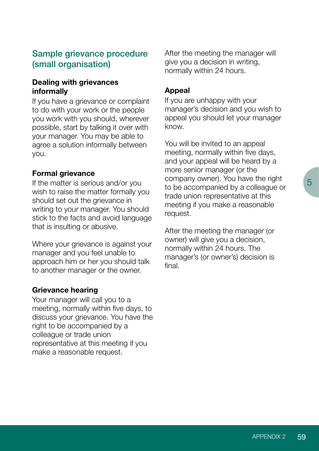5

# Sample grievance procedure (small organisation)

# Dealing with grievances informally

If you have a grievance or complaint to do with your work or the people you work with you should, wherever possible, start by talking it over with your manager. You may be able to agree a solution informally between you.

# Formal grievance

If the matter is serious and/or you wish to raise the matter formally you should set out the grievance in writing to your manager. You should stick to the facts and avoid language that is insulting or abusive.

Where your grievance is against your manager and you feel unable to approach him or her you should talk to another manager or the owner.

# Grievance hearing

Your manager will call you to a meeting, normally within five days, to discuss your grievance. You have the right to be accompanied by a colleague or trade union representative at this meeting if you make a reasonable request.

After the meeting the manager will give you a decision in writing, normally within 24 hours.

# Appeal

If you are unhappy with your manager's decision and you wish to appeal you should let your manager know.

You will be invited to an appeal meeting, normally within five days, and your appeal will be heard by a more senior manager (or the company owner). You have the right to be accompanied by a colleague or trade union representative at this meeting if you make a reasonable request.

After the meeting the manager (or owner) will give you a decision, normally within 24 hours. The manager's (or owner's) decision is final.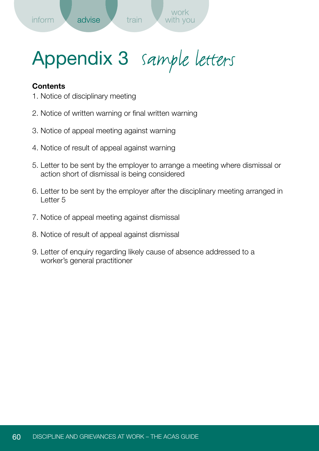work advise *inform* train with you

# Appendix 3 Sample letters

# **Contents**

- 1. Notice of disciplinary meeting
- 2. Notice of written warning or final written warning
- 3. Notice of appeal meeting against warning
- 4. Notice of result of appeal against warning
- 5. Letter to be sent by the employer to arrange a meeting where dismissal or action short of dismissal is being considered
- 6. Letter to be sent by the employer after the disciplinary meeting arranged in Letter 5
- 7. Notice of appeal meeting against dismissal
- 8. Notice of result of appeal against dismissal
- 9. Letter of enquiry regarding likely cause of absence addressed to a worker's general practitioner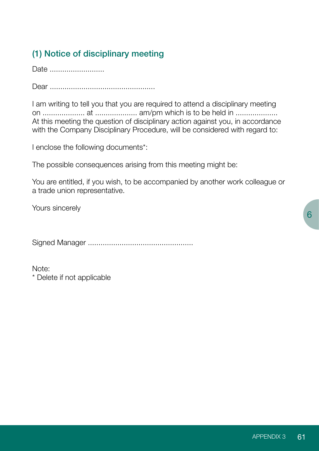# (1) Notice of disciplinary meeting

Date ...........................

Dear ..................................................

I am writing to tell you that you are required to attend a disciplinary meeting on .................... at .................... am/pm which is to be held in .................... At this meeting the question of disciplinary action against you, in accordance with the Company Disciplinary Procedure, will be considered with regard to:

I enclose the following documents\*:

The possible consequences arising from this meeting might be:

You are entitled, if you wish, to be accompanied by another work colleague or a trade union representative.

Yours sincerely

Signed Manager ..................................................

Note: \* Delete if not applicable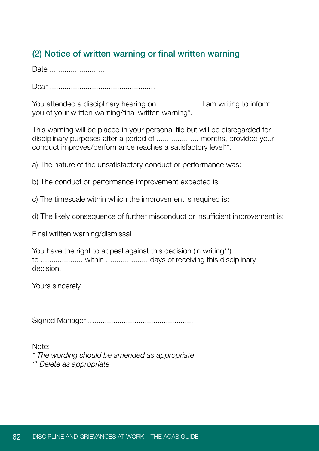# (2) Notice of written warning or final written warning

Date ..........................

Dear ..................................................

You attended a disciplinary hearing on .................... I am writing to inform you of your written warning/final written warning\*.

This warning will be placed in your personal file but will be disregarded for disciplinary purposes after a period of .................... months, provided your conduct improves/performance reaches a satisfactory level\*\*.

a) The nature of the unsatisfactory conduct or performance was:

b) The conduct or performance improvement expected is:

c) The timescale within which the improvement is required is:

d) The likely consequence of further misconduct or insufficient improvement is:

Final written warning/dismissal

You have the right to appeal against this decision (in writing\*\*) to .................... within .................... days of receiving this disciplinary decision.

Yours sincerely

Signed Manager ..................................................

Note:

*\* The wording should be amended as appropriate* 

*\*\* Delete as appropriate*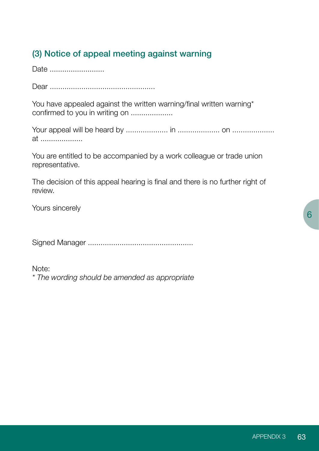# (3) Notice of appeal meeting against warning

Date .........................

Dear ..................................................

You have appealed against the written warning/final written warning\* confirmed to you in writing on ...................

Your appeal will be heard by .................... in .................... on .................... at ....................

You are entitled to be accompanied by a work colleague or trade union representative.

The decision of this appeal hearing is final and there is no further right of review.

Yours sincerely

Signed Manager ..................................................

Note:

*\* The wording should be amended as appropriate*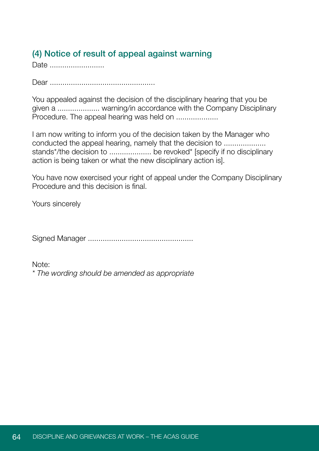# (4) Notice of result of appeal against warning

Date ...........................

Dear ..................................................

You appealed against the decision of the disciplinary hearing that you be given a .................... warning/in accordance with the Company Disciplinary Procedure. The appeal hearing was held on ...................

I am now writing to inform you of the decision taken by the Manager who conducted the appeal hearing, namely that the decision to ................... stands\*/the decision to .................... be revoked\* [specify if no disciplinary action is being taken or what the new disciplinary action is].

You have now exercised your right of appeal under the Company Disciplinary Procedure and this decision is final.

Yours sincerely

Signed Manager ..................................................

Note:

*\* The wording should be amended as appropriate*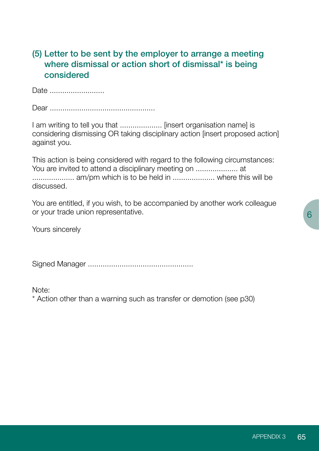# (5) Letter to be sent by the employer to arrange a meeting where dismissal or action short of dismissal\* is being considered

Date ...........................

Dear ..................................................

I am writing to tell you that .................... [insert organisation name] is considering dismissing OR taking disciplinary action [insert proposed action] against you.

This action is being considered with regard to the following circumstances: You are invited to attend a disciplinary meeting on .................... at .................... am/pm which is to be held in .................... where this will be discussed.

You are entitled, if you wish, to be accompanied by another work colleague or your trade union representative.

Yours sincerely

Signed Manager ..................................................

Note:

\* Action other than a warning such as transfer or demotion [\(see p30\)](#page-31-0)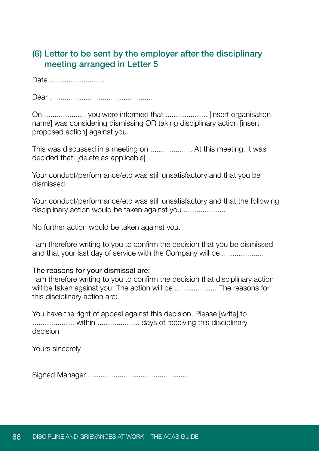# (6) Letter to be sent by the employer after the disciplinary meeting arranged in Letter 5

Date ..........................

Dear ..................................................

On .................... you were informed that .................... [insert organisation name] was considering dismissing OR taking disciplinary action [insert proposed action] against you.

This was discussed in a meeting on .................... At this meeting, it was decided that: [delete as applicable]

Your conduct/performance/etc was still unsatisfactory and that you be dismissed.

Your conduct/performance/etc was still unsatisfactory and that the following disciplinary action would be taken against you ...................

No further action would be taken against you.

I am therefore writing to you to confirm the decision that you be dismissed and that your last day of service with the Company will be ....................

### The reasons for your dismissal are:

I am therefore writing to you to confirm the decision that disciplinary action will be taken against you. The action will be .................... The reasons for this disciplinary action are:

You have the right of appeal against this decision. Please [write] to .................... within .................... days of receiving this disciplinary decision

Yours sincerely

Signed Manager ..................................................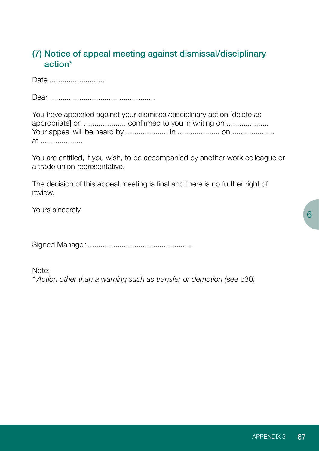# (7) Notice of appeal meeting against dismissal/disciplinary action\*

Date ..........................

Dear ..................................................

You have appealed against your dismissal/disciplinary action [delete as appropriate] on .................... confirmed to you in writing on .................... Your appeal will be heard by .................... in .................... on .................... at ......................

You are entitled, if you wish, to be accompanied by another work colleague or a trade union representative.

The decision of this appeal meeting is final and there is no further right of review.

Yours sincerely

Signed Manager ..................................................

Note:

*\* Action other than a warning such as transfer or demotion (*[see p30](#page-31-0)*)*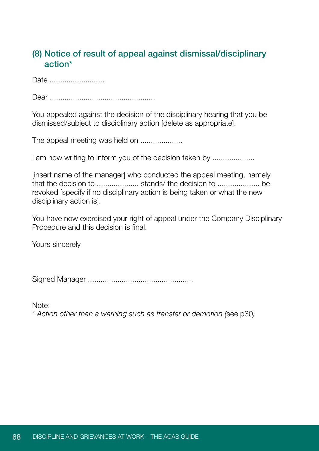# (8) Notice of result of appeal against dismissal/disciplinary action\*

Date ..........................

Dear ..................................................

You appealed against the decision of the disciplinary hearing that you be dismissed/subject to disciplinary action [delete as appropriate].

The appeal meeting was held on ...................

I am now writing to inform you of the decision taken by ...................

[insert name of the manager] who conducted the appeal meeting, namely that the decision to .................... stands/ the decision to .................... be revoked [specify if no disciplinary action is being taken or what the new disciplinary action is].

You have now exercised your right of appeal under the Company Disciplinary Procedure and this decision is final.

Yours sincerely

Signed Manager ..................................................

Note: *\* Action other than a warning such as transfer or demotion (*[see p30](#page-31-0)*)*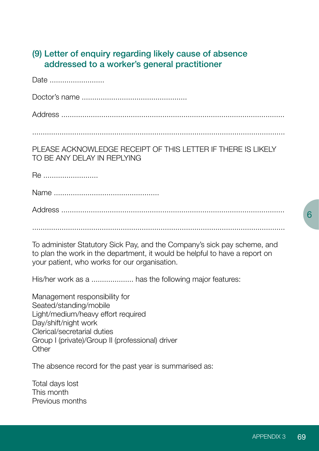# (9) Letter of enquiry regarding likely cause of absence addressed to a worker's general practitioner

| Date                                                                                                                                                                                                     |
|----------------------------------------------------------------------------------------------------------------------------------------------------------------------------------------------------------|
|                                                                                                                                                                                                          |
|                                                                                                                                                                                                          |
|                                                                                                                                                                                                          |
| PLEASE ACKNOWLEDGE RECEIPT OF THIS LETTER IF THERE IS LIKELY<br>TO BE ANY DELAY IN REPLYING                                                                                                              |
| Re                                                                                                                                                                                                       |
|                                                                                                                                                                                                          |
|                                                                                                                                                                                                          |
|                                                                                                                                                                                                          |
| To administer Statutory Sick Pay, and the Company's sick pay scheme, and<br>to plan the work in the department, it would be helpful to have a report on<br>your patient, who works for our organisation. |
| His/her work as a  has the following major features:                                                                                                                                                     |
| Management responsibility for<br>Seated/standing/mobile<br>Light/medium/heavy effort required<br>Day/shift/night work<br>Clerical/secretarial duties<br>Group I (private)/Group II (professional) driver |

The absence record for the past year is summarised as:

Total days lost This month Previous months

**Other**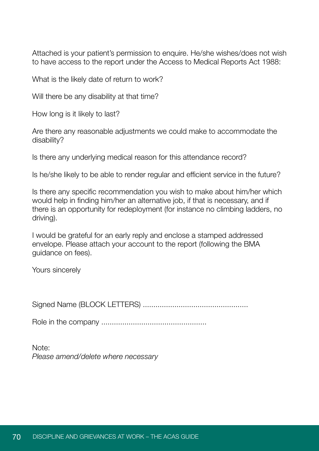Attached is your patient's permission to enquire. He/she wishes/does not wish to have access to the report under the Access to Medical Reports Act 1988:

What is the likely date of return to work?

Will there be any disability at that time?

How long is it likely to last?

Are there any reasonable adjustments we could make to accommodate the disability?

Is there any underlying medical reason for this attendance record?

Is he/she likely to be able to render regular and efficient service in the future?

Is there any specific recommendation you wish to make about him/her which would help in finding him/her an alternative job, if that is necessary, and if there is an opportunity for redeployment (for instance no climbing ladders, no driving).

I would be grateful for an early reply and enclose a stamped addressed envelope. Please attach your account to the report (following the BMA guidance on fees).

Yours sincerely

Signed Name (BLOCK LETTERS) ..................................................

Role in the company ..................................................

Note: *Please amend/delete where necessary*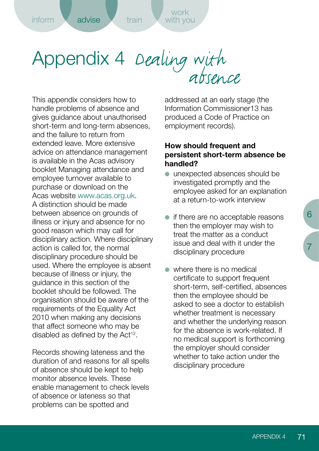work with you

Appendix 4 Dealing with

This appendix considers how to handle problems of absence and gives guidance about unauthorised short-term and long-term absences, and the failure to return from extended leave. More extensive advice on attendance management is available in the Acas advisory booklet Managing attendance and employee turnover available to purchase or download on the Acas website [www.acas.org.uk.](www.acas.org.uk) A distinction should be made between absence on grounds of illness or injury and absence for no good reason which may call for disciplinary action. Where disciplinary action is called for, the normal disciplinary procedure should be used. Where the employee is absent because of illness or injury, the guidance in this section of the booklet should be followed. The organisation should be aware of the requirements of the Equality Act 2010 when making any decisions that affect someone who may be disabled as defined by the  $Act^{12}$ .

Records showing lateness and the duration of and reasons for all spells of absence should be kept to help monitor absence levels. These enable management to check levels of absence or lateness so that problems can be spotted and

addressed at an early stage (the Information Commissioner13 has produced a Code of Practice on employment records).

## How should frequent and persistent short-term absence be handled?

- unexpected absences should be investigated promptly and the employee asked for an explanation at a return-to-work interview
- if there are no acceptable reasons then the employer may wish to treat the matter as a conduct issue and deal with it under the disciplinary procedure
- where there is no medical certificate to support frequent short-term, self-certified, absences then the employee should be asked to see a doctor to establish whether treatment is necessary and whether the underlying reason for the absence is work-related. If no medical support is forthcoming the employer should consider whether to take action under the disciplinary procedure

6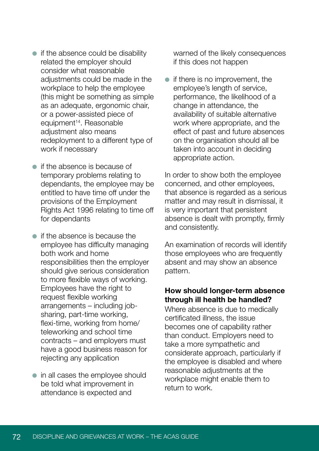- if the absence could be disability related the employer should consider what reasonable adjustments could be made in the workplace to help the employee (this might be something as simple as an adequate, ergonomic chair, or a power-assisted piece of equipment<sup>14</sup>. Reasonable adjustment also means redeployment to a different type of work if necessary
- if the absence is because of temporary problems relating to dependants, the employee may be entitled to have time off under the provisions of the Employment Rights Act 1996 relating to time off for dependants
- if the absence is because the employee has difficulty managing both work and home responsibilities then the employer should give serious consideration to more flexible ways of working. Employees have the right to request flexible working arrangements – including jobsharing, part-time working, flexi-time, working from home/ teleworking and school time contracts – and employers must have a good business reason for rejecting any application
- in all cases the employee should be told what improvement in attendance is expected and

warned of the likely consequences if this does not happen

● if there is no improvement, the employee's length of service, performance, the likelihood of a change in attendance, the availability of suitable alternative work where appropriate, and the effect of past and future absences on the organisation should all be taken into account in deciding appropriate action.

In order to show both the employee concerned, and other employees, that absence is regarded as a serious matter and may result in dismissal, it is very important that persistent absence is dealt with promptly, firmly and consistently.

An examination of records will identify those employees who are frequently absent and may show an absence pattern.

### How should longer-term absence through ill health be handled?

Where absence is due to medically certificated illness, the issue becomes one of capability rather than conduct. Employers need to take a more sympathetic and considerate approach, particularly if the employee is disabled and where reasonable adjustments at the workplace might enable them to return to work.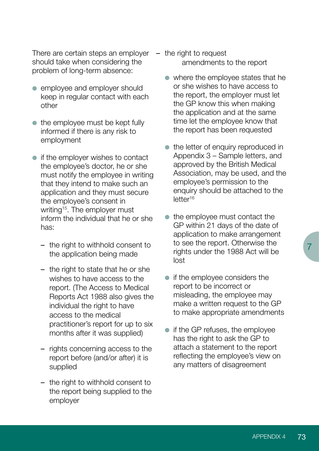There are certain steps an employer should take when considering the problem of long-term absence:

- employee and employer should keep in regular contact with each other
- the employee must be kept fully informed if there is any risk to employment
- if the employer wishes to contact the employee's doctor, he or she must notify the employee in writing that they intend to make such an application and they must secure the employee's consent in writing<sup>15</sup>. The employer must inform the individual that he or she has:
	- the right to withhold consent to the application being made
	- the right to state that he or she wishes to have access to the report. (The Access to Medical Reports Act 1988 also gives the individual the right to have access to the medical practitioner's report for up to six months after it was supplied)
	- rights concerning access to the report before (and/or after) it is supplied
	- the right to withhold consent to the report being supplied to the employer
- the right to request amendments to the report
	- where the employee states that he or she wishes to have access to the report, the employer must let the GP know this when making the application and at the same time let the employee know that the report has been requested
	- the letter of enquiry reproduced in Appendix 3 – Sample letters, and approved by the British Medical Association, may be used, and the employee's permission to the enquiry should be attached to the letter<sup>16</sup>
	- the employee must contact the GP within 21 days of the date of application to make arrangement to see the report. Otherwise the rights under the 1988 Act will be lost
	- if the employee considers the report to be incorrect or misleading, the employee may make a written request to the GP to make appropriate amendments
	- if the GP refuses, the employee has the right to ask the GP to attach a statement to the report reflecting the employee's view on any matters of disagreement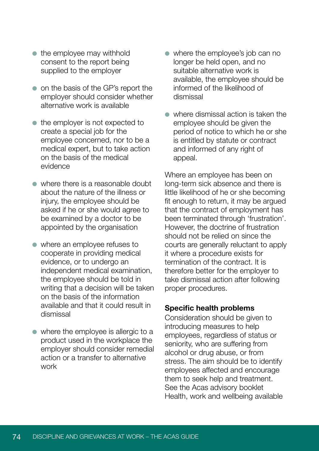- the employee may withhold consent to the report being supplied to the employer
- on the basis of the GP's report the employer should consider whether alternative work is available
- the employer is not expected to create a special job for the employee concerned, nor to be a medical expert, but to take action on the basis of the medical evidence
- where there is a reasonable doubt about the nature of the illness or injury, the employee should be asked if he or she would agree to be examined by a doctor to be appointed by the organisation
- where an employee refuses to cooperate in providing medical evidence, or to undergo an independent medical examination, the employee should be told in writing that a decision will be taken on the basis of the information available and that it could result in dismissal
- where the employee is allergic to a product used in the workplace the employer should consider remedial action or a transfer to alternative work
- where the employee's job can no longer be held open, and no suitable alternative work is available, the employee should be informed of the likelihood of dismissal
- where dismissal action is taken the employee should be given the period of notice to which he or she is entitled by statute or contract and informed of any right of appeal.

Where an employee has been on long-term sick absence and there is little likelihood of he or she becoming fit enough to return, it may be argued that the contract of employment has been terminated through 'frustration'. However, the doctrine of frustration should not be relied on since the courts are generally reluctant to apply it where a procedure exists for termination of the contract. It is therefore better for the employer to take dismissal action after following proper procedures.

#### Specific health problems

Consideration should be given to introducing measures to help employees, regardless of status or seniority, who are suffering from alcohol or drug abuse, or from stress. The aim should be to identify employees affected and encourage them to seek help and treatment. See the Acas advisory booklet Health, work and wellbeing available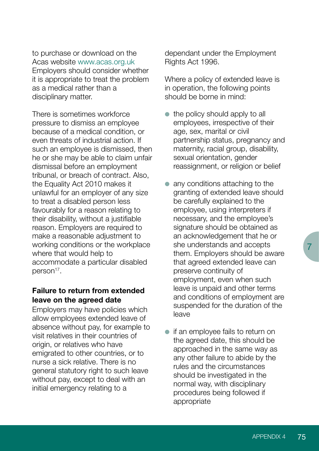to purchase or download on the Acas website <www.acas.org.uk> Employers should consider whether it is appropriate to treat the problem as a medical rather than a disciplinary matter.

There is sometimes workforce pressure to dismiss an employee because of a medical condition, or even threats of industrial action. If such an employee is dismissed, then he or she may be able to claim unfair dismissal before an employment tribunal, or breach of contract. Also, the Equality Act 2010 makes it unlawful for an employer of any size to treat a disabled person less favourably for a reason relating to their disability, without a justifiable reason. Employers are required to make a reasonable adjustment to working conditions or the workplace where that would help to accommodate a particular disabled person<sup>17</sup>.

### Failure to return from extended leave on the agreed date

Employers may have policies which allow employees extended leave of absence without pay, for example to visit relatives in their countries of origin, or relatives who have emigrated to other countries, or to nurse a sick relative. There is no general statutory right to such leave without pay, except to deal with an initial emergency relating to a

dependant under the Employment Rights Act 1996.

Where a policy of extended leave is in operation, the following points should be borne in mind:

- $\bullet$  the policy should apply to all employees, irrespective of their age, sex, marital or civil partnership status, pregnancy and maternity, racial group, disability, sexual orientation, gender reassignment, or religion or belief
- any conditions attaching to the granting of extended leave should be carefully explained to the employee, using interpreters if necessary, and the employee's signature should be obtained as an acknowledgement that he or she understands and accepts them. Employers should be aware that agreed extended leave can preserve continuity of employment, even when such leave is unpaid and other terms and conditions of employment are suspended for the duration of the leave
- if an employee fails to return on the agreed date, this should be approached in the same way as any other failure to abide by the rules and the circumstances should be investigated in the normal way, with disciplinary procedures being followed if appropriate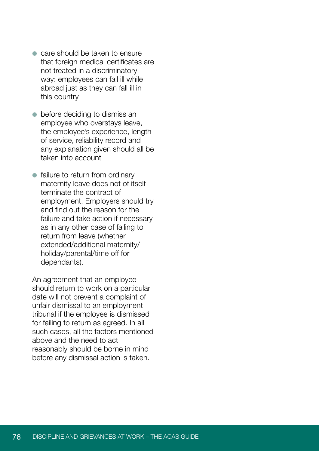- care should be taken to ensure that foreign medical certificates are not treated in a discriminatory way: employees can fall ill while abroad just as they can fall ill in this country
- before deciding to dismiss an employee who overstays leave, the employee's experience, length of service, reliability record and any explanation given should all be taken into account
- failure to return from ordinary maternity leave does not of itself terminate the contract of employment. Employers should try and find out the reason for the failure and take action if necessary as in any other case of failing to return from leave (whether extended/additional maternity/ holiday/parental/time off for dependants).

An agreement that an employee should return to work on a particular date will not prevent a complaint of unfair dismissal to an employment tribunal if the employee is dismissed for failing to return as agreed. In all such cases, all the factors mentioned above and the need to act reasonably should be borne in mind before any dismissal action is taken.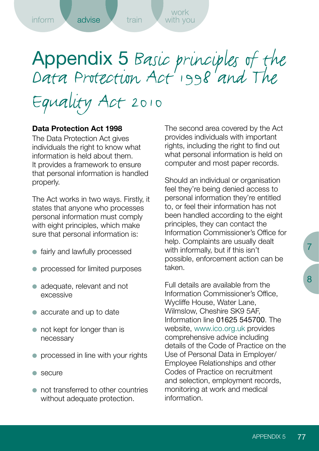advise

*inform* 

work with you

## Appendix 5 Basic principles of the<br>Data Protection Act 1998 and The

Equality Act 2010

## Data Protection Act 1998

The Data Protection Act gives individuals the right to know what information is held about them. It provides a framework to ensure that personal information is handled properly.

The Act works in two ways. Firstly, it states that anyone who processes personal information must comply with eight principles, which make sure that personal information is:

- fairly and lawfully processed
- processed for limited purposes
- adequate, relevant and not excessive
- accurate and up to date
- not kept for longer than is necessary
- processed in line with your rights
- secure
- not transferred to other countries without adequate protection.

The second area covered by the Act provides individuals with important rights, including the right to find out what personal information is held on computer and most paper records.

Should an individual or organisation feel they're being denied access to personal information they're entitled to, or feel their information has not been handled according to the eight principles, they can contact the Information Commissioner's Office for help. Complaints are usually dealt with informally, but if this isn't possible, enforcement action can be taken.

Full details are available from the Information Commissioner's Office, Wycliffe House, Water Lane, Wilmslow, Cheshire SK9 5AF, Information line 01625 545700. The website,<www.ico.org.uk>provides comprehensive advice including details of the Code of Practice on the Use of Personal Data in Employer/ Employee Relationships and other Codes of Practice on recruitment and selection, employment records, monitoring at work and medical information.

7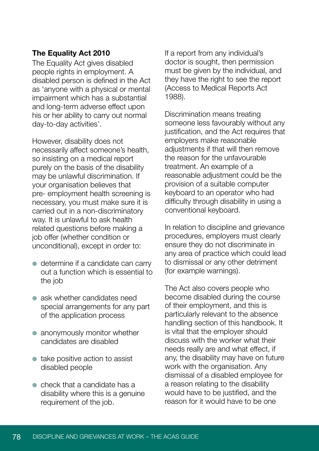## The Equality Act 2010

The Equality Act gives disabled people rights in employment. A disabled person is defined in the Act as 'anyone with a physical or mental impairment which has a substantial and long-term adverse effect upon his or her ability to carry out normal day-to-day activities'.

However, disability does not necessarily affect someone's health, so insisting on a medical report purely on the basis of the disability may be unlawful discrimination. If your organisation believes that pre- employment health screening is necessary, you must make sure it is carried out in a non-discriminatory way. It is unlawful to ask health related questions before making a job offer (whether condition or unconditional), except in order to:

- determine if a candidate can carry out a function which is essential to the job
- ask whether candidates need special arrangements for any part of the application process
- anonymously monitor whether candidates are disabled
- $\bullet$  take positive action to assist disabled people
- check that a candidate has a disability where this is a genuine requirement of the job.

If a report from any individual's doctor is sought, then permission must be given by the individual, and they have the right to see the report (Access to Medical Reports Act 1988).

Discrimination means treating someone less favourably without any justification, and the Act requires that employers make reasonable adjustments if that will then remove the reason for the unfavourable treatment. An example of a reasonable adjustment could be the provision of a suitable computer keyboard to an operator who had difficulty through disability in using a conventional keyboard.

In relation to discipline and grievance procedures, employers must clearly ensure they do not discriminate in any area of practice which could lead to dismissal or any other detriment (for example warnings).

The Act also covers people who become disabled during the course of their employment, and this is particularly relevant to the absence handling section of this handbook. It is vital that the employer should discuss with the worker what their needs really are and what effect, if any, the disability may have on future work with the organisation. Any dismissal of a disabled employee for a reason relating to the disability would have to be justified, and the reason for it would have to be one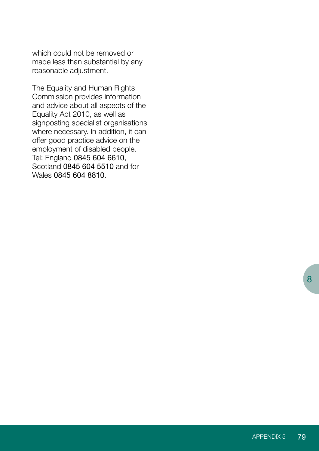which could not be removed or made less than substantial by any reasonable adjustment.

The Equality and Human Rights Commission provides information and advice about all aspects of the Equality Act 2010, as well as signposting specialist organisations where necessary. In addition, it can offer good practice advice on the employment of disabled people. Tel: England 0845 604 6610, Scotland 0845 604 5510 and for Wales 0845 604 8810.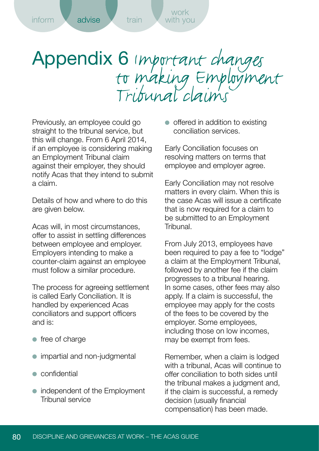inform

train

work with you

# Appendix 6 Important changes<br>to making Employment<br>Tribunal claims

Previously, an employee could go straight to the tribunal service, but this will change. From 6 April 2014, if an employee is considering making an Employment Tribunal claim against their employer, they should notify Acas that they intend to submit a claim.

Details of how and where to do this are given below.

Acas will, in most circumstances, offer to assist in settling differences between employee and employer. Employers intending to make a counter-claim against an employee must follow a similar procedure.

The process for agreeing settlement is called Early Conciliation. It is handled by experienced Acas conciliators and support officers and is:

- free of charge
- impartial and non-judgmental
- confidential
- independent of the Employment Tribunal service

● offered in addition to existing conciliation services.

Early Conciliation focuses on resolving matters on terms that employee and employer agree.

Early Conciliation may not resolve matters in every claim. When this is the case Acas will issue a certificate that is now required for a claim to be submitted to an Employment **Tribunal** 

From July 2013, employees have been required to pay a fee to "lodge" a claim at the Employment Tribunal, followed by another fee if the claim progresses to a tribunal hearing. In some cases, other fees may also apply. If a claim is successful, the employee may apply for the costs of the fees to be covered by the employer. Some employees, including those on low incomes, may be exempt from fees.

Remember, when a claim is lodged with a tribunal. Acas will continue to offer conciliation to both sides until the tribunal makes a judgment and, if the claim is successful, a remedy decision (usually financial compensation) has been made.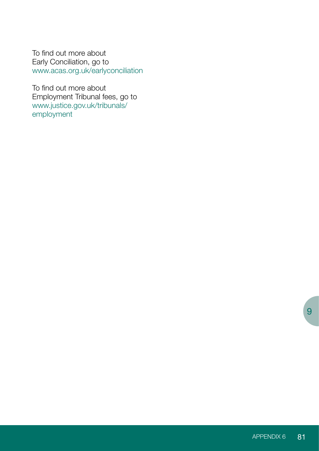To find out more about Early Conciliation, go to <www.acas.org.uk/earlyconciliation>

To find out more about Employment Tribunal fees, go to [www.justice.gov.uk/tribunals/](www.justice.gov.uk/tribunals/employment) [employment](www.justice.gov.uk/tribunals/employment)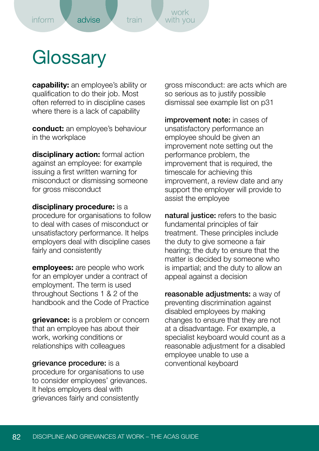## **Glossary**

capability: an employee's ability or qualification to do their job. Most often referred to in discipline cases where there is a lack of capability

conduct: an employee's behaviour in the workplace

disciplinary action: formal action against an employee: for example issuing a first written warning for misconduct or dismissing someone for gross misconduct

disciplinary procedure: is a procedure for organisations to follow to deal with cases of misconduct or unsatisfactory performance. It helps employers deal with discipline cases fairly and consistently

**employees:** are people who work for an employer under a contract of employment. The term is used throughout Sections 1 & 2 of the handbook and the Code of Practice

grievance: is a problem or concern that an employee has about their work, working conditions or relationships with colleagues

#### grievance procedure: is a

procedure for organisations to use to consider employees' grievances. It helps employers deal with grievances fairly and consistently

gross misconduct: are acts which are so serious as to justify possible dismissal see example list on p31

improvement note: in cases of unsatisfactory performance an employee should be given an improvement note setting out the performance problem, the improvement that is required, the timescale for achieving this improvement, a review date and any support the employer will provide to assist the employee

natural justice: refers to the basic fundamental principles of fair treatment. These principles include the duty to give someone a fair hearing; the duty to ensure that the matter is decided by someone who is impartial; and the duty to allow an appeal against a decision

reasonable adjustments: a way of preventing discrimination against disabled employees by making changes to ensure that they are not at a disadvantage. For example, a specialist keyboard would count as a reasonable adjustment for a disabled employee unable to use a conventional keyboard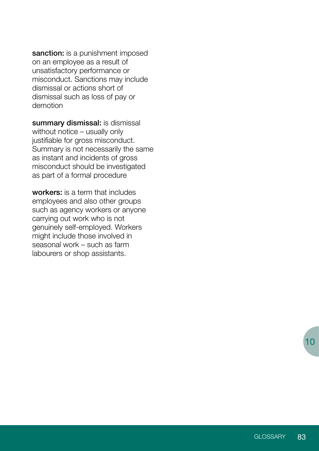sanction: is a punishment imposed on an employee as a result of unsatisfactory performance or misconduct. Sanctions may include dismissal or actions short of dismissal such as loss of pay or demotion

summary dismissal: is dismissal without notice – usually only justifiable for gross misconduct. Summary is not necessarily the same as instant and incidents of gross misconduct should be investigated as part of a formal procedure

workers: is a term that includes employees and also other groups such as agency workers or anyone carrying out work who is not genuinely self-employed. Workers might include those involved in seasonal work – such as farm labourers or shop assistants.

ነ $\cap$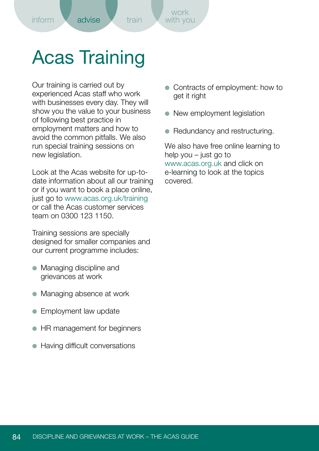#### work with you

## Acas Training

Our training is carried out by experienced Acas staff who work with businesses every day. They will show you the value to your business of following best practice in employment matters and how to avoid the common pitfalls. We also run special training sessions on new legislation.

Look at the Acas website for up-todate information about all our training or if you want to book a place online, just go to [www.acas.org.uk/training](http://www.acas.org.uk/training) or call the Acas customer services team on 0300 123 1150.

Training sessions are specially designed for smaller companies and our current programme includes:

- Managing discipline and arievances at work
- Managing absence at work
- Employment law update
- HR management for beginners
- Having difficult conversations
- Contracts of employment: how to get it right
- New employment legislation
- Redundancy and restructuring.

We also have free online learning to help you – just go to [www.acas.org.uk](http://www.acas.org.uk ) and click on e-learning to look at the topics covered.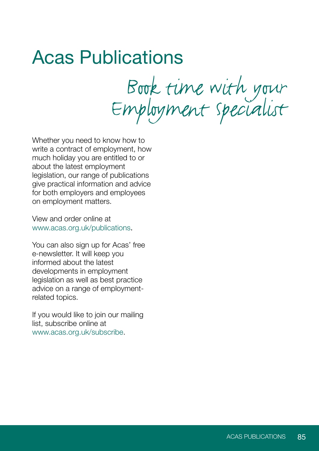## Acas Publications

Book time with your Employment Specialist

Whether you need to know how to write a contract of employment, how much holiday you are entitled to or about the latest employment legislation, our range of publications give practical information and advice for both employers and employees on employment matters.

View and order online at [www.acas.org.uk/publications](http://www.acas.org.uk/publications).

You can also sign up for Acas' free e-newsletter. It will keep you informed about the latest developments in employment legislation as well as best practice advice on a range of employmentrelated topics.

If you would like to join our mailing list, subscribe online at [www.acas.org.uk/subscribe.](http://www.acas.org.uk/subscribe)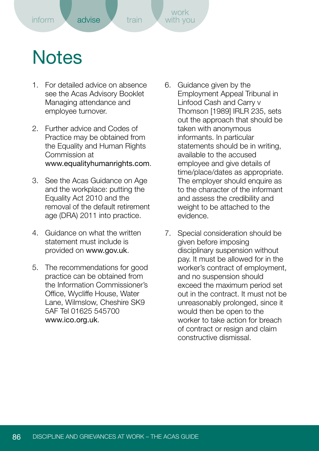

## **Notes**

- 1. For detailed advice on absence see the Acas Advisory Booklet Managing attendance and employee turnover.
- 2. Further advice and Codes of Practice may be obtained from the Equality and Human Rights Commission at <www.equalityhumanrights.com>.
- 3. See the Acas Guidance on Age and the workplace: putting the Equality Act 2010 and the removal of the default retirement age (DRA) 2011 into practice.
- 4. Guidance on what the written statement must include is provided on [www.gov.uk](www.berr.gov.uk).
- 5. The recommendations for good practice can be obtained from the Information Commissioner's Office, Wycliffe House, Water Lane, Wilmslow, Cheshire SK9 5AF Tel 01625 545700 <www.ico.org.uk>.
- 6. Guidance given by the Employment Appeal Tribunal in Linfood Cash and Carry v Thomson [1989] IRLR 235, sets out the approach that should be taken with anonymous informants. In particular statements should be in writing, available to the accused employee and give details of time/place/dates as appropriate. The employer should enquire as to the character of the informant and assess the credibility and weight to be attached to the evidence.
- 7. Special consideration should be given before imposing disciplinary suspension without pay. It must be allowed for in the worker's contract of employment, and no suspension should exceed the maximum period set out in the contract. It must not be unreasonably prolonged, since it would then be open to the worker to take action for breach of contract or resign and claim constructive dismissal.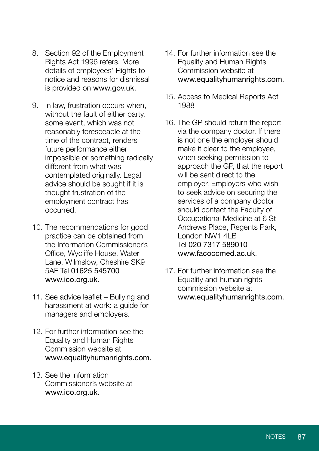- 8. Section 92 of the Employment Rights Act 1996 refers. More details of employees' Rights to notice and reasons for dismissal is provided on [www.gov.uk](www.berr.gov.uk).
- 9. In law, frustration occurs when, without the fault of either party, some event, which was not reasonably foreseeable at the time of the contract, renders future performance either impossible or something radically different from what was contemplated originally. Legal advice should be sought if it is thought frustration of the employment contract has occurred.
- 10. The recommendations for good practice can be obtained from the Information Commissioner's Office, Wycliffe House, Water Lane, Wilmslow, Cheshire SK9 5AF Tel 01625 545700 <www.ico.org.uk>.
- 11. See advice leaflet Bullying and harassment at work: a guide for managers and employers.
- 12. For further information see the Equality and Human Rights Commission website at <www.equalityhumanrights.com>.
- 13. See the Information Commissioner's website at <www.ico.org.uk>.
- 14. For further information see the Equality and Human Rights Commission website at <www.equalityhumanrights.com>.
- 15. Access to Medical Reports Act 1988
- 16. The GP should return the report via the company doctor. If there is not one the employer should make it clear to the employee, when seeking permission to approach the GP, that the report will be sent direct to the employer. Employers who wish to seek advice on securing the services of a company doctor should contact the Faculty of Occupational Medicine at 6 St Andrews Place, Regents Park, London NW1 4LB Tel 020 7317 589010 <www.facoccmed.ac.uk>.
- 17. For further information see the Equality and human rights commission website at <www.equalityhumanrights.com>.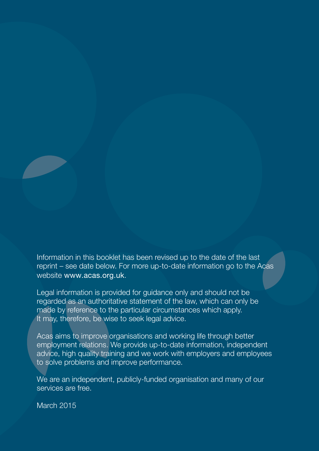Information in this booklet has been revised up to the date of the last reprint – see date below. For more up-to-date information go to the Acas website [www.acas.org.uk](http://www.acas.org.uk).

Legal information is provided for guidance only and should not be regarded as an authoritative statement of the law, which can only be made by reference to the particular circumstances which apply. It may, therefore, be wise to seek legal advice.

Acas aims to improve organisations and working life through better employment relations. We provide up-to-date information, independent advice, high quality training and we work with employers and employees to solve problems and improve performance.

We are an independent, publicly-funded organisation and many of our services are free.

March 2015

 $\bullet$